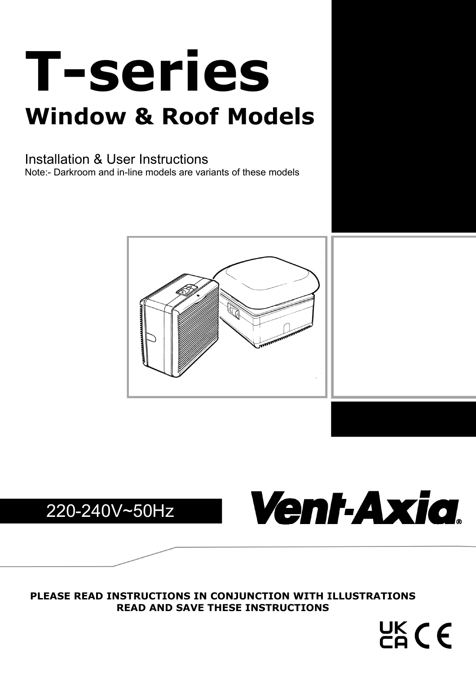# **T-series Window & Roof Models**

# Installation & User Instructions

Note:- Darkroom and in-line models are variants of these models







UK CE

**PLEASE READ INSTRUCTIONS IN CONJUNCTION WITH ILLUSTRATIONS READ AND SAVE THESE INSTRUCTIONS**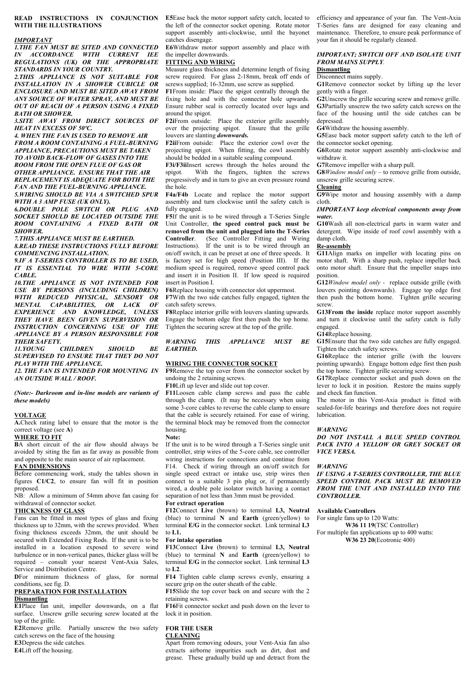### **READ INSTRUCTIONS IN CONJUNCTION E5**Ease back the motor support safety catch, located to **WITH THE ILLUSTRATIONS**

### *IMPORTANT*

*1.THE FAN MUST BE SITED AND CONNECTED IN ACCORDANCE WITH CURRENT IEE REGULATIONS (UK) OR THE APPROPRIATE STANDARDS IN YOUR COUNTRY.* 

*2.THIS APPLIANCE IS NOT SUITABLE FOR INSTALLATION IN A SHOWER CUBICLE OR ENCLOSURE AND MUST BE SITED AWAY FROM ANY SOURCE OF WATER SPRAY, AND MUST BE OUT OF REACH OF A PERSON USING A FIXED BATH OR SHOWER.* 

*3.SITE AWAY FROM DIRECT SOURCES OF HEAT IN EXCESS OF 50ºC.* 

*4. WHEN THE FAN IS USED TO REMOVE AIR FROM A ROOM CONTAINING A FUEL-BURNING APPLIANCE, PRECAUTIONS MUST BE TAKEN TO AVOID BACK-FLOW OF GASES INTO THE ROOM FROM THE OPEN FLUE OF GAS OR OTHER APPLIANCE. ENSURE THAT THE AIR REPLACEMENT IS ADEQUATE FOR BOTH THE FAN AND THE FUEL-BURNING APPLIANCE. 5.WIRING SHOULD BE VIA A SWITCHED SPUR WITH A 3 AMP FUSE (UK ONLY).* 

*6.DOUBLE POLE SWITCH OR PLUG AND SOCKET SHOULD BE LOCATED OUTSIDE THE ROOM CONTAINING A FIXED BATH OR SHOWER.* 

*7.THIS APPLIANCE MUST BE EARTHED.* 

*8.READ THESE INSTRUCTIONS FULLY BEFORE COMMENCING INSTALLATION.* 

*9.IF A T-SERIES CONTROLLER IS TO BE USED, IT IS ESSENTIAL TO WIRE WITH 5-CORE CABLE.* 

*10.THE APPLIANCE IS NOT INTENDED FOR USE BY PERSONS (INCLUDING CHILDREN) WITH REDUCED PHYSICAL, SENSORY OR MENTAL CAPABILITIES, OR LACK OF EXPERIENCE AND KNOWLEDGE, UNLESS THEY HAVE BEEN GIVEN SUPERVISION OR INSTRUCTION CONCERNING USE OF THE APPLIANCE BY A PERSON RESPONSIBLE FOR THEIR SAFETY.* 

*11.YOUNG CHILDREN SHOULD BE SUPERVISED TO ENSURE THAT THEY DO NOT PLAY WITH THE APPLIANCE.* 

*12. THE FAN IS INTENDED FOR MOUNTING IN AN OUTSIDE WALL / ROOF.* 

*(Note:- Darkroom and in-line models are variants of these models)* 

### **VOLTAGE**

**A.**Check rating label to ensure that the motor is the correct voltage (see **A**)

### **WHERE TO FIT**

**B**A short circuit of the air flow should always be avoided by siting the fan as far away as possible from and opposite to the main source of air replacement.

### **FAN DIMENSIONS**

Before commencing work, study the tables shown in figures **C1/C2**, to ensure fan will fit in position proposed.

NB: Allow a minimum of 54mm above fan casing for withdrawal of connector socket.

### **THICKNESS OF GLASS**

Fans can be fitted in most types of glass and fixing thickness up to 32mm, with the screws provided. When fixing thickness exceeds 32mm, the unit should be secured with Extended Fixing Rods. If the unit is to be installed in a location exposed to severe wind turbulence or in non-vertical panes, thicker glass will be required – consult your nearest Vent-Axia Sales, Service and Distribution Centre.

**D**For minimum thickness of glass, for normal conditions, see fig. D.

### **PREPARATION FOR INSTALLATION Dismantling**

**E1**Place fan unit, impeller downwards, on a flat surface. Unscrew grille securing screw located at the top of the grille.

**E2**Remove grille. Partially unscrew the two safety catch screws on the face of the housing

**E3**Depress the side catches.

**E4**Lift off the housing.

the left of the connector socket opening. Rotate motor support assembly anti-clockwise, until the bayonet catches disengage.

**E6**Withdraw motor support assembly and place with the impeller downwards.

### **FITTING AND WIRING**

Measure glass thickness and determine length of fixing screw required. For glass 2-18mm, break off ends of screws supplied; 16-32mm, use screw as supplied.

**F1**From inside: Place the spigot centrally through the fixing hole and with the connector hole upwards. Ensure rubber seal is correctly located over lugs and around the spigot.

**F2i**From outside: Place the exterior grille assembly over the projecting spigot. Ensure that the grille louvers are slanting *downwards.* 

**F2ii**From outside: Place the exterior cowl over the projecting spigot. When fitting, the cowl assembly should be bedded in a suitable sealing compound.

**F3i/F3ii**Insert screws through the holes around the spigot. With the fingers, tighten the screws progressively and in turn to give an even pressure round the hole.

**F4a/F4b** Locate and replace the motor support assembly and turn clockwise until the safety catch is fully engaged.

**F5**If the unit is to be wired through a T-Series Single Unit Controller, **the speed control pack must be removed from the unit and plugged into the T-Series Controller**. (See Controller Fitting and Wiring Instructions). If the unit is to be wired through an on/off switch, it can be preset at one of three speeds. It is factory set for high speed (Position III). If the medium speed is required, remove speed control pack and insert it in Position II. If low speed is required insert in Position I.

**F6**Replace housing with connector slot uppermost.

**F7**With the two side catches fully engaged, tighten the catch safety screws.

**F8**Replace interior grille with louvers slanting upwards. Engage the bottom edge first then push the top home. Tighten the securing screw at the top of the grille.

### *WARNING THIS APPLIANCE MUST BE EARTHED.*

### **WIRING THE CONNECTOR SOCKET**

**F9**Remove the top cover from the connector socket by undoing the 2 retaining screws.

through the clamp. (It may be necessary when using some 3-core cables to reverse the cable clamp to ensure that the cable is securely retained. For ease of wiring, the terminal block may be removed from the connector housing.

### **Note:**

If the unit is to be wired through a T-Series single unit controller, strip wires of the 5-core cable, see controller wiring instructions for connections and continue from F14. Check if wiring through an on/off switch for single speed extract or intake use, strip wires then connect to a suitable 3 pin plug or, if permanently wired, a double pole isolator switch having a contact separation of not less than 3mm must be provided. **For extract operation** 

**F12**Connect **Live** (brown) to terminal **L3, Neutral** (blue) to terminal **N** and **Earth** (green/yellow) to terminal **E/G** in the connector socket. Link terminal **L3** to **L1.**

### **For intake operation**

**F13**Connect **Live** (brown) to terminal **L3, Neutral** (blue) to terminal **N** and **Earth** (green/yellow) to terminal **E/G** in the connector socket. Link terminal **L3** to **L2**.

**F14** Tighten cable clamp screws evenly, ensuring a secure grip on the outer sheath of the cable.

**F15**Slide the top cover back on and secure with the 2 retaining screws.

**F16**Fit connector socket and push down on the lever to lock it in position.

### **FOR THE USER**

### **CLEANING**

Apart from removing odours, your Vent-Axia fan also extracts airborne impurities such as dirt, dust and grease. These gradually build up and detract from the efficiency and appearance of your fan. The Vent-Axia T-Series fans are designed for easy cleaning and maintenance. Therefore, to ensure peak performance of your fan it should be regularly cleaned.

### *IMPORTANT; SWITCH OFF AND ISOLATE UNIT FROM MAINS SUPPLY.*

### **Dismantling**

Disconnect mains supply.

**G1**Remove connector socket by lifting up the lever gently with a finger.

**G2**Unscrew the grille securing screw and remove grille. **G3**Partially unscrew the two safety catch screws on the

face of the housing until the side catches can be depressed.

**G4**Withdraw the housing assembly.

**G5**Ease back motor support safety catch to the left of the connector socket opening.

**G6**Rotate motor support assembly anti-clockwise and withdraw it.

**G7**Remove impeller with a sharp pull.

**G8***Window model only –* to remove grille from outside, unscrew grille securing screw.

### **Cleaning**

**G9**Wipe motor and housing assembly with a damp cloth.

### *IMPORTANT keep electrical components away from water.*

**G10**Wash all non-electrical parts in warm water and detergent. Wipe inside of roof cowl assembly with a damp cloth.

### **Re-assembly**

**G11**Align marks on impeller with locating pins on motor shaft. With a sharp push, replace impeller back onto motor shaft. Ensure that the impeller snaps into position.

**G12***Window model only -* replace outside grille (with louvers pointing downwards). Engage top edge first then push the bottom home. Tighten grille securing screw.

**G13From the inside** replace motor support assembly and turn it clockwise until the safety catch is fully engaged.

### **G14**Replace housing.

**G15**Ensure that the two side catches are fully engaged. Tighten the catch safety screws.

**G16**Replace the interior grille (with the louvers pointing upwards). Engage bottom edge first then push the top home. Tighten grille securing screw.

**G17**Replace connector socket and push down on the lever to lock it in position. Restore the mains supply and check fan function.

The motor in this Vent-Axia product is fitted with sealed-for-life bearings and therefore does not require lubrication.

*DO NOT INSTALL A BLUE SPEED CONTROL PACK INTO A YELLOW OR GREY SOCKET OR VICE VERSA.* 

*IF USING A T-SERIES CONTROLLER, THE BLUE SPEED CONTROL PACK MUST BE REMOVED FROM THE UNIT AND INSTALLED INTO THE CONTROLLER.* 

### **Available Controllers**

For single fans up to 120 Watts: **W36 11 19**(TSC Controller) For multiple fan applications up to 400 watts:

 **W36 23 20**(Ecotronic 400)

*WARNING* 

*WARNING* 

### **F10**Lift up lever and slide out top cover. **F11**Loosen cable clamp screws and pass the cable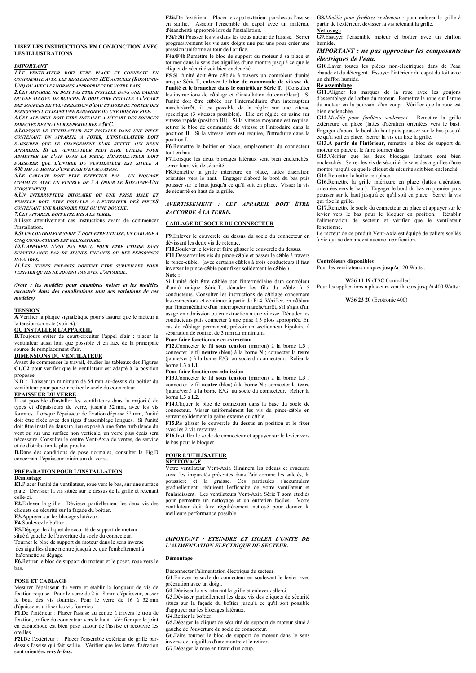### **LISEZ LES INSTRUCTIONS EN CONJONCTION AVEC LES ILLUSTRATIONS**

### *IMPORTANT*

*1.LE VENTILATEUR DOIT ETRE PLACE ET CONNECTE EN CONFORMITE AVEC LES REGLEMENTS IEE ACTUELS (ROYAUME-UNI) OU AVEC LES NORMES APPROPRIEES DE VOTRE PAYS.* 

*2.CET APPAREIL NE DOIT PAS ETRE INSTALLE DANS UNE CABINE OU UNE ALCOVE DE DOUCHE. IL DOIT ETRE INSTALLE A L'ECART DES SOURCES DE PULVERISATION D'EAU ET HORS DE PORTEE DES PERSONNES UTILISANT UNE BAIGNOIRE OU UNE DOUCHE FIXE. 3.CET APPAREIL DOIT ETRE INSTALLE A L'ECART DES SOURCES DIRECTES DE CHALEUR SUPERIEURES A 50ºC.* 

*4.LORSQUE LE VENTILATEUR EST INSTALLE DANS UNE PIECE CONTENANT UN APPAREIL A FOYER, L'INSTALLATEUR DOIT S'ASSURER QUE LE CHANGEMENT D'AIR SUFFIT AUX DEUX APPAREILS. SI LE VENTILATEUR PEUT ETRE UTILISE POUR ADMETTRE DE L'AIR DANS LA PIECE, L'INSTALLATEUR DOIT S'ASSURER QUE L'ENTREE DU VENTILATEUR EST SITUEE A 600 MM AU MOINS D'UNE BUSE D'EVACUATION.* 

*5.LE CABLAGE DOIT ETRE EFFECTUE PAR UN PIQUAGE COMMUTE AVEC UN FUSIBLE DE 3 A (POUR LE ROYAUME-UNI UNIQUEMENT)* 

*6.UN INTERRUPTEUR BIPOLAIRE OU UNE PRISE MALE ET FEMELLE DOIT ETRE INSTALLE A L'EXTERIEUR DES PIECES CONTENANT UNE BAIGNOIRE FIXE OU UNE DOUCHE.* 

*7.CET APPAREIL DOIT ETRE MIS A LA TERRE.* 

8.Lisez attentivement ces instructions avant de commencer l'installation.

*9.SI UN CONTROLEUR SERIE T DOIT ETRE UTILISE, UN CABLAGE A CINQ CONDUCTEURS EST OBLIGATOIRE.* 

*10.L'APPAREIL N'EST PAS PREVU POUR ETRE UTILISE SANS SURVEILLANCE PAR DE JEUNES ENFANTS OU DES PERSONNES INVALIDES.* 

*11.LES JEUNES ENFANTS DOIVENT ETRE SURVEILLES POUR VERIFIER QU'ILS NE JOUENT PAS AVEC L'APPAREIL.* 

*(Note : les modèles pour chambres noires et les modèles encastrés dans des canalisations sont des variations de ces modèles)* 

### **TENSION**

**A**.Vérifier la plaque signalétique pour s'assurer que le moteur a la tension correcte (voir **A**).

### **OU INSTALLER L'APPAREIL**

**B**.Toujours éviter de court-circuiter l'appel d'air : placer le ventilateur aussi loin que possible et en face de la principale source de remplacement d'air.

### **DIMENSIONS DU VENTILATEUR**

Avant de commencer le travail, étudier les tableaux des Figures **C1/C2** pour vérifier que le ventilateur est adapté à la position proposée.

N.B. : Laisser un minimum de 54 mm au-dessus du boîtier du ventilateur pour pouvoir retirer le socle du connecteur. **EPAISSEUR DU VERRE** 

Il est possible d'installer les ventilateurs dans la majorité de types et d'épaisseurs de verre, jusqu'à 32 mm, avec les vis fournies. Lorsque l'épaisseur de fixation dépasse 32 mm, l'unité doit être fixée avec des tiges d'assemblage longues. Si l'unité doit être installée dans un lieu exposé à une forte turbulence du vent ou sur une surface non verticale, un verre plus épais sera nécessaire. Consulter le centre Vent-Axia de ventes, de service

et de distribution le plus proche. **D.**Dans des conditions de pose normales, consulter la Fig.D concernant l'épaisseur minimum du verre.

### **PREPARATION POUR L'INSTALLATION Démontage**

**E1.**Placer l'unité du ventilateur, roue vers le bas, sur une surface plate. Dévisser la vis située sur le dessus de la grille et retenant celle-ci.

**E2.**Enlever la grille. Dévisser partiellement les deux vis des cliquets de sécurité sur la façade du boîtier.

**E3.**Appuyer sur les blocages latéraux.

**E4.**Soulevez le boîtier.

**E5.**Dégager le cliquet de sécurité de support de moteur

situé à gauche de l'ouverture du socle du connecteur. Tourner le bloc de support du moteur dans le sens inverse

des aiguilles d'une montre jusqu'à ce que l'emboîtement à

baïonnette se dégage.

**E6.**Retirer le bloc de support du moteur et le poser, roue vers le bas.

### **POSE ET CABLAGE**

Mesurer l'épaisseur du verre et établir la longueur de vis de fixation requise. Pour le verre de 2 à 18 mm d'épaisseur, casser le bout des vis fournies. Pour le verre de 16 à 32 mm d'épaisseur, utiliser les vis fournies.

**F1**.De l'intérieur : Placer l'assise au centre à travers le trou de fixation, orifice du connecteur vers le haut. Vérifier que le joint en caoutchouc est bien posé autour de l'assise et recouvre les oreilles.

**F2i**.De l'extérieur : Placer l'ensemble extérieur de grille pardessus l'assise qui fait saillie. Vérifier que les lattes d'aération sont orientées *vers le bas***.**

**F2ii.**De l'extérieur : Placer le capot extérieur par-dessus l'assise en saillie. Asseoir l'ensemble du capot avec un matériau d'étanchéité approprié lors de l'installation.

**F3i/F3ii**.Pousser les vis dans les trous autour de l'assise. Serrer progressivement les vis aux doigts une par une pour créer une pression uniforme autour de l'orifice.

**F4a/F4b**.Remettre le bloc de support du moteur à sa place et tourner dans le sens des aiguilles d'une montre jusqu'à ce que le cliquet de sécurité soit bien enclenché.

**F5**.Si l'unité doit être câblée à travers un contrôleur d'unité unique Série T, **enlever le bloc de commande de vitesse de l'unité et le brancher dans le contrôleur Série T.** (Consulter les instructions de câblage et d'installation du contrôleur). Si l'unité doit être câblée par l'intermédiaire d'un interrupteur marche/arrêt, il est possible de la régler sur une vitesse spécifique (3 vitesses possibles). Elle est réglée en usine sur vitesse rapide (position III). Si la vitesse moyenne est requise, retirer le bloc de commande de vitesse et l'introduire dans la position II. Si la vitesse lente est requise, l'introduire dans la position I.

**F6**.Remettre le boîtier en place, emplacement du connecteur tout en haut.

**F7**.Lorsque les deux blocages latéraux sont bien enclenchés, serrer leurs vis de sécurité.

**F8.**Remettre la grille intérieure en place, lattes d'aération orientées vers le haut. Engager d'abord le bord du bas puis pousser sur le haut jusqu'à ce qu'il soit en place. Visser la vis de sécurité en haut de la grille.

### *AVERTISSEMENT : CET APPAREIL DOIT ÊTRE RACCORDE À LA TERRE.*

### **CABLAGE DU SOCLE DU CONNECTEUR**

**F9**.Enlever le couvercle du dessus du socle du connecteur en dévissant les deux vis de retenue.

**F10**.Soulever le levier et faire glisser le couvercle du dessus. **F11**.Desserrer les vis du pince-câble et passer le câble à travers

le pince-câble. (avec certains câbles à trois conducteurs il faut inverser le pince-câble pour fixer solidement le câble.) **Note :** 

Si l'unité doit être câblée par l'intermédiaire d'un contrôleur d'unité unique Série T, dénuder les fils du câble à 5 conducteurs. Consulter les instructions de câblage concernant les connexions et continuer à partir de F14. Vérifier, en câblant par l'intermédiaire d'un interrupteur marche/arrêt, s'il s'agit d'un usage en admission ou en extraction à une vitesse. Dénuder les conducteurs puis connecter à une prise à 3 plots appropriée. En cas de câblage permanent, prévoir un sectionneur bipolaire à séparation de contact de 3 mm au minimum.

### **Pour faire fonctionner en extraction**

**F12**.Connecter le fil **sous tension** (marron) à la borne **L3** ; connecter le fil **neutre** (bleu) à la borne **N** ; connecter la **terre** (jaune/vert) à la borne **E/G**, au socle du connecteur. Relier la borne **L3** à **L1**.

### **Pour faire fonction en admission**

**F13**.Connecter le fil **sous tension** (marron) à la borne **L3** ; connecter le fil **neutre** (bleu) à la borne **N** ; connecter la **terre** (jaune/vert) à la borne **E/G**, au socle du connecteur. Relier la borne **L3** à **L2**.

**F14**.Cliquer le bloc de connexion dans la base du socle de connecteur. Visser uniformément les vis du pince-câble en serrant solidement la gaine externe du câble.

**F15.**Re glisser le couvercle du dessus en position et le fixer avec les 2 vis restantes.

**F16**.Installer le socle de connecteur et appuyer sur le levier vers le bas pour le bloquer.

### **POUR L'UTILISATEUR NETTOYAGE**

Votre ventilateur Vent-Axia éliminera les odeurs et évacuera aussi les impuretés présentes dans l'air comme les saletés, la poussière et la graisse. Ces particules s'accumulent graduellement, réduisent l'efficacité de votre ventilateur et l'enlaidissent. Les ventilateurs Vent-Axia Série T sont étudiés

pour permettre un nettoyage et un entretien faciles. Votre ventilateur doit être régulièrement nettoyé pour donner la meilleure performance possible.

### *IMPORTANT : ETEINDRE ET ISOLER L'UNITE DE L'ALIMENTATION ELECTRIQUE DU SECTEUR.*

### **Démontage**

Déconnecter l'alimentation électrique du secteur.

**G1**.Enlever le socle du connecteur en soulevant le levier avec précaution avec un doigt.

**G2**.Dévisser la vis retenant la grille et enlever celle-ci.

**G3**.Dévisser partiellement les deux vis des cliquets de sécurité situés sur la façade du boîtier jusqu'à ce qu'il soit possible d'appuyer sur les blocages latéraux. **G4**.Retirer le boîtier.

**G5.**Dégager le cliquet de sécurité du support de moteur situé à gauche de l'ouverture du socle de connecteur.

**G6.**Faire tourner le bloc de support de moteur dans le sens inverse des aiguilles d'une montre et le retirer.

**G7**.Dégager la roue en tirant d'un coup.

**G8.***Modèle pour fenêtres seulement* - pour enlever la grille à partir de l'extérieur, dévisser la vis retenant la grille.

**Nettoyage G9**.Essuyer l'ensemble moteur et boîtier avec un chiffon humide.

### *IMPORTANT : ne pas approcher les composants électriques de l'eau.*

**G10**.Laver toutes les pièces non-électriques dans de l'eau chaude et du détergent. Essuyer l'intérieur du capot du toit avec un chiffon humide.

### **Ré assemblage**

**G11**.Aligner les marques de la roue avec les goujons d'assemblage de l'arbre du moteur. Remettre la roue sur l'arbre du moteur en la poussant d'un coup. Vérifier que la roue est bien enclenchée.

**G12**.*Modèle pour fenêtres seulement* - Remettre la grille extérieure en place (lattes d'aération orientées vers le bas). Engager d'abord le bord du haut puis pousser sur le bas jusqu'à ce qu'il soit en place. Serrer la vis qui fixe la grille.

**G13.A partir de l'intérieur,** remettre le bloc de support du moteur en place et le faire tourner dans

**G15.**Vérifier que les deux blocages latéraux sont bien enclenchés. Serrer les vis de sécurité. le sens des aiguilles d'une montre jusqu'à ce que le cliquet de sécurité soit bien enclenché. **G14**.Remettre le boîtier en place.

**G16.**Remettre la grille intérieure en place (lattes d'aération orientées vers le haut). Engager le bord du bas en premier puis pousser sur le haut jusqu'à ce qu'il soit en place. Serrer la vis qui fixe la grille.

**G17.**Remettre le socle du connecteur en place et appuyer sur le levier vers le bas pour le bloquer en position. Rétablir l'alimentation de secteur et vérifier que le ventilateur fonctionne.

Le moteur de ce produit Vent-Axia est équipé de paliers scellés à vie qui ne demandent aucune lubrification.

### **Contrôleurs disponibles**

Pour les ventilateurs uniques jusqu'à 120 Watts :

### **W36 11 19** (TSC Controller)

Pour les applications à plusieurs ventilateurs jusqu'à 400 Watts :

 **W36 23 20** (Ecotronic 400)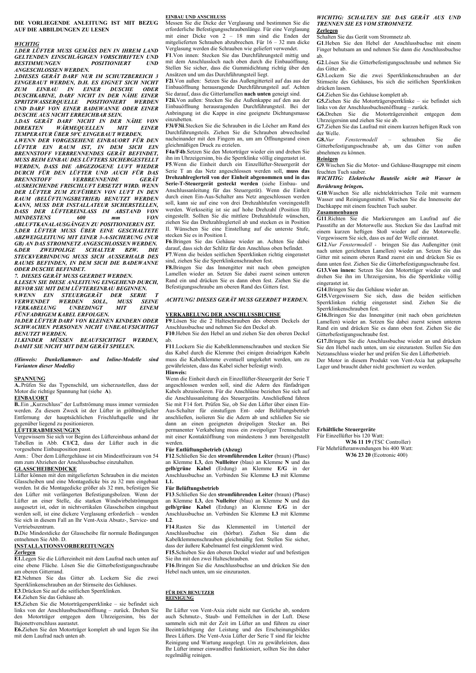**DIE VORLIEGENDE ANLEITUNG IST MIT BEZUG AUF DIE ABBILDUNGEN ZU LESEN**

### *WICHTIG*

*1.DER LÜFTER MUSS GEMÄSS DEN IN IHREM LAND GELTENDEN EINSCHLÄGIGEN VORSCHRIFTEN UND BESTIMMUNGEN POSITIONIERT UND ANGESCHLOSSEN WERDEN.* 

*2.DIESES GERÄT DARF NUR IM SCHUTZBEREICH 3 EINGEBAUT WERDEN, D.H. ES EIGNET SICH NICHT ZUM EINBAU IN EINER DUSCHE ODER DUSCHKABINE, DARF NICHT IN DER NÄHE EINER SPRITZWASSERQUELLE POSITIONIERT WERDEN UND DARF VON EINER BADEWANNE ODER EINER DUSCHE AUS NICHT ERREICHBAR SEIN.* 

*3.DAS GERÄT DARF NICHT IN DER NÄHE VON DIREKTEN WÄRMEQUELLEN MIT EINER TEMPERATUR ÜBER 50ºC EINGEBAUT WERDEN.* 

*4.WENN DER VORGESEHENE EINBAUORT FÜR DEN LÜFTER EIN RAUM IST, IN DEM SICH EIN BRENNSTOFF VERBRENNENDES GERÄT BEFINDET, MUSS BEIM EINBAU DES LÜFTERS SICHERGESTELLT WERDEN, DASS DIE ABGEZOGENE LUFT WIEDER DURCH FÜR DEN LÜFTER UND AUCH FÜR DAS BRENNSTOFF VERBRENNENDE GERÄT AUSREICHENDE FRISCHLUFT ERSETZT WIRD. WENN DER LÜFTER ZUM ZUFÜHREN VON LUFT IN DEN RAUM (BELÜFTUNGSBETRIEB) BENUTZT WERDEN KANN, MUSS DER INSTALLATEUR SICHERSTELLEN, DASS DER LÜFTEREINLASS IM ABSTAND VON MINDESTENS* 600 mm *ABLUFTKANALAUSGÄNGEN ZU POSITIONIEREN IST. 5.DER LÜFTER MUSS ÜBER EINE GESCHALTETE ABZWEIGLEITUNG MIT EINER 3-A-SICHERUNG (NUR GB) AN DAS STROMNETZ ANGESCHLOSSEN WERDEN. 6.DER ZWEIPOLIGE SCHALTER BZW. DIE STECKVERBINDUNG MUSS SICH AUSSERHALB DES RAUMS BEFINDEN, IN DEM SICH DIE BADEWANNE ODER DUSCHE BEFINDET.* 

*7. DIESES GERÄT MUSS GEERDET WERDEN.* 

*8.LESEN SIE DIESE ANLEITUNG EINGEHEND DURCH, BEVOR SIE MIT DEM LÜFTEREINBAU BEGINNEN. 9.WENN EIN STEUERGERÄT DER SERIE T* 

*VERWENDET WERDEN SOLL, MUSS SEINE VERKABELUNG UNBEDINGT MIT EINEM FÜNFADRIGEM KABEL ERFOLGEN. 10.DER LÜFTER DARF VON KLEINEN KINDERN ODER* 

*SCHWACHEN PERSONEN NICHT UNBEAUFSICHTIGT BENUTZT WERDEN. 11.KINDER MÜSSEN BEAUFSICHTIGT WERDEN,* 

*DAMIT SIE NICHT MIT DEM GERÄT SPIELEN.* 

*(Hinweis: Dunkelkammer- und Inline-Modelle sind Varianten dieser Modelle)* 

### **SPANNUNG**

**A.**.Prüfen Sie das Typenschild, um sicherzustellen, dass der Motor die richtige Spannung hat (siehe **A**).

### **EINBAUORT**

**B.**.Ein "Kurzschluss" der Luftströmung muss immer vermieden werden. Zu diesem Zweck ist der Lüfter in größtmöglicher Entfernung der hauptsächlichen Frischluftquelle und ihr gegenüber liegend zu positionieren.

### **LÜFTERABMESSUNGEN**

Vergewissern Sie sich vor Beginn des Lüftereinbaus anhand der Tabellen in Abb. **C1/C2**, dass der Lüfter auch in die vorgesehene Einbauposition passt.

Anm.: Über dem Lüftergehäuse ist ein Mindestfreiraum von 54 mm zum Abziehen der Anschlussbuchse einzuhalten.

### **GLASSCHEIBENDICKE**

Lüfter können mit den mitgelieferten Schrauben in die meisten Glasscheiben und eine Montagedicke bis zu 32 mm eingebaut werden. Ist die Montagedicke größer als 32 mm, befestigen Sie den Lüfter mit verlängerten Befestigungsbolzen. Wenn der Lüfter an einer Stelle, die starken Windwirbelströmungen ausgesetzt ist, oder in nichtvertikalen Glasscheiben eingebaut werden soll, ist eine dickere Verglasung erforderlich – wenden Sie sich in diesem Fall an Ihr Vent-Axia Absatz-, Service- und Vertriebszentrum.

**D.**Die Mindestdicke der Glasscheibe für normale Bedingungen entnehmen Sie Abb. D.

### **INSTALLATIONSVORBEREITUNGEN Zerlegen**

**E1.**Legen Sie die Lüftereinheit mit dem Laufrad nach unten auf eine ebene Fläche. Lösen Sie die Gitterbefestigungsschraube am oberen Gitterrand.

**E2**.Nehmen Sie das Gitter ab. Lockern Sie die zwei Sperrklinkenschrauben an der Stirnseite des Gehäuses.

**E3**.Drücken Sie auf die seitlichen Sperrklinken. **E4**.Ziehen Sie das Gehäuse ab.

**E5.**Ziehen Sie die Motorträgersperrklinke – sie befindet sich links von der Anschlussbuchsenöffnung – zurück. Drehen Sie den Motorträger entgegen dem Uhrzeigersinn, bis der Bajonettverschluss ausrastet.

**E6.**Ziehen Sie den Motorträger komplett ab und legen Sie ihn mit dem Laufrad nach unten ab.

**EINBAU UND ANSCHLUSS** Messen Sie die Dicke der Verglasung und bestimmen Sie die erforderliche Befestigungsschraubenlänge. Für eine Verglasung mit einer Dicke von 2 – 18 mm sind die Enden der mitgelieferten Schrauben abzubrechen. Für 16 – 32 mm dicke Verglasung werden die Schrauben wie geliefert verwendet.

**F1**.Von innen: Stecken Sie das Durchführungsteil mittig und mit dem Anschlussloch nach oben durch die Einbauöffnung. Stellen Sie sicher, dass die Gummidichtung richtig über den Ansätzen und um das Durchführungsteil liegt.

**F2i**.Von außen: Setzen Sie das Außengitterteil auf das aus der Einbauöffnung herausragende Durchführungsteil auf. Achten Sie darauf, dass die Gitterlamellen **nach unten** geneigt sind.

**F2ii.**Von außen: Stecken Sie die Außenkappe auf den aus der Einbauöffnung herausragenden Durchführungsteil. Bei der Anbringung ist die Kappe in eine geeignete Dichtungsmasse einzubetten.

**F3i/F3ii**.Stecken Sie die Schrauben in die Löcher am Rand des Durchführungsteils. Ziehen Sie die Schrauben abwechselnd nacheinander mit den Fingern an, um am Öffnungsrand einen gleichmäßigen Druck zu erzielen.

**F4a/F4b**.Setzen Sie den Motorträger wieder ein und drehen Sie ihn im Uhrzeigersinn, bis die Sperrklinke völlig eingerastet ist. **F5**.Wenn die Einheit durch ein Einzellüfter-Steuergerät der Serie T an das Netz angeschlossen werden soll, **muss das Drehzahlreglerteil von der Einheit abgenommen und in das Serie-T-Steuergerät gesteckt werden** (siehe Einbau- und Anschlussanleitung für das Steuergerät). Wenn die Einheit durch einen Ein-Aus-Schalter ans Netz angeschlossen werden soll, kann sie auf eine von drei Drehzahlstufen voreingestellt werden. Werksseitig ist sie auf hohe Drehzahl (Position III) eingestellt. Sollten Sie die mittlere Drehzahlstufe wünschen, ziehen Sie das Drehzahlreglerteil ab und stecken es in Position II. Wünschen Sie eine Einstellung auf die unterste Stufe, stecken Sie es in Position I.

**F6**.Bringen Sie das Gehäuse wieder an. Achten Sie dabei darauf, dass sich der Schlitz für den Anschluss oben befindet. **F7**.Wenn die beiden seitlichen Sperrklinken richtig eingerastet sind, ziehen Sie die Sperrklinkenschrauben fest.

**F8.**Bringen Sie das Innengitter mit nach oben geneigten Lamellen wieder an. Setzen Sie dabei zuerst seinen unteren Rand ein und drücken Sie es dann oben fest. Ziehen Sie die Befestigungsschraube am oberen Rand des Gitters fest.

### *ACHTUNG! DIESES GERÄT MUSS GEERDET WERDEN.*

### **VERKABELUNG DER ANSCHLUSSBUCHSE**

**F9**.Lösen Sie die 2 Halteschrauben des oberen Deckels der Anschlussbuchse und nehmen Sie den Deckel ab.

**F10**.Heben Sie den Hebel an und ziehen Sie den oberen Deckel ab.

**F11**.Lockern Sie die Kabelklemmenschrauben und stecken Sie das Kabel durch die Klemme (bei einigen dreiadrigen Kabeln muss die Kabelklemme eventuell umgekehrt werden, um zu gewährleisten, dass das Kabel sicher befestigt wird). **Hinweis:** 

Wenn die Einheit durch ein Einzellüfter-Steuergerät der Serie T angeschlossen werden soll, sind die Adern des fünfadrigen Kabels abzuisolieren. Für die Anschlüsse beziehen Sie sich auf die Anschlussanleitung des Steuergeräts. Anschließend fahren Sie mit F14 fort. Prüfen Sie, ob Sie den Lüfter über einen Ein-Aus-Schalter für einstufigen Ent- oder Belüftungsbetrieb anschließen, isolieren Sie die Adern ab und schließen Sie sie dann an einen geeigneten dreipoligen Stecker an. Bei permanenter Verkabelung muss ein zweipoliger Trennschalter mit einer Kontaktöffnung von mindestens 3 mm bereitgestellt werden.

### **Für Entlüftungsbetrieb (Abzug)**

**F12**.Schließen Sie den **stromführenden Leiter** (braun) (Phase) an Klemme **L3,** den **Nullleiter** (blau) an Klemme **N** und das **gelb/grüne Kabel** (Erdung) an Klemme **E/G** in der Anschlussbuchse an. Verbinden Sie Klemme **L3** mit Klemme **L1.**

### **Für Belüftungsbetrieb**

**F13**.Schließen Sie den **stromführenden Leiter** (braun) (Phase) an Klemme **L3,** den **Nulleiter** (blau) an Klemme **N** und das **gelb/grüne Kabel** (Erdung) an Klemme **E/G** in der Anschlussbuchse an. Verbinden Sie Klemme **L3** mit Klemme **L2**.

**F14**.Rasten Sie das Klemmenteil im Unterteil der Anschlussbuchse ein (hörbar). Ziehen Sie dann die Kabelklemmenschrauben gleichmäßig fest. Stellen Sie sicher, dass der äußere Kabelmantel fest eingeklemmt wird.

**F15.**Schieben Sie den oberen Deckel wieder auf und befestigen Sie ihn mit den zwei Halteschrauben.

**F16**.Bringen Sie die Anschlussbuchse an und drücken Sie den Hebel nach unten, um sie einzurasten.

### **FÜR DEN BENUTZER REINIGUNG**

Ihr Lüfter von Vent-Axia zieht nicht nur Gerüche ab, sondern auch Schmutz-, Staub- und Fettteilchen in der Luft. Diese sammeln sich mit der Zeit im Lüfter an und führen zu einer Beeinträchtigung der Leistung und des Erscheinungsbildes Ihres Lüfters. Die Vent-Axia Lüfter der Serie T sind für leichte Reinigung und Wartung ausgelegt. Um zu gewährleisten, dass Ihr Lüfter immer einwandfrei funktioniert, sollten Sie ihn daher regelmäßig reinigen.

### *WICHTIG: SCHALTEN SIE DAS GERÄT AUS UND TRENNEN SIE ES VOM STROMNETZ.* **Zerlegen**

Schalten Sie das Gerät vom Stromnetz ab.

**G1**.Heben Sie den Hebel der Anschlussbuchse mit einem Finger behutsam an und nehmen Sie dann die Anschlussbuchse ab.

**G2**.Lösen Sie die Gitterbefestigungsschraube und nehmen Sie das Gitter ab.

**G3**.Lockern Sie die zwei Sperrklinkenschrauben an der Stirnseite des Gehäuses, bis sich die seitlichen Sperrklinken drücken lassen.

**G4**.Ziehen Sie das Gehäuse komplett ab.

**G5.**Ziehen Sie die Motorträgersperrklinke – sie befindet sich links von der Anschlussbuchsenöffnung – zurück.

**G6.**Drehen Sie die Motorträgereinheit entgegen dem Uhrzeigersinn und ziehen Sie sie ab.

**G7**.Ziehen Sie das Laufrad mit einem kurzen heftigen Ruck von der Welle.

**G8.***Nur Fenstermodell –* schrauben Sie die Gitterbefestigungsschraube ab, um das Gitter von außen abnehmen zu können.

### **Reinigen**

**G9**.Wischen Sie die Motor- und Gehäuse-Baugruppe mit einem feuchten Tuch sauber.

### *WICHTIG: Elektrische Bauteile nicht mit Wasser in Berührung bringen.*

**G10**.Waschen Sie alle nichtelektrischen Teile mit warmem Wasser und Reinigungsmittel. Wischen Sie die Innenseite der Dachkappe mit einem feuchten Tuch sauber.

### **Zusammenbauen**

**G11**.Richten Sie die Markierungen am Laufrad auf die Passstifte an der Motorwelle aus. Stecken Sie das Laufrad mit einem kurzen heftigen Stoß wieder auf die Motorwelle. Vergewissern Sie sich, dass es auf der Welle einrastet.

**G12**.*Nur Fenstermodell -* bringen Sie das Außengitter (mit nach unten gerichteten Lamellen) wieder an. Setzen Sie das Gitter mit seinem oberen Rand zuerst ein und drücken Sie es dann unten fest. Ziehen Sie die Gitterbefestigungsschraube fest. **G13.Von innen:** Setzen Sie den Motorträger wieder ein und drehen Sie ihn im Uhrzeigersinn, bis die Sperrklinke völlig eingerastet ist.

**G14**.Bringen Sie das Gehäuse wieder an.

**G15.**Vergewissern Sie sich, dass die beiden seitlichen Sperrklinken richtig eingerastet sind. Ziehen Sie die Sperrklinkenschrauben fest.

**G16.**Bringen Sie das Innengitter (mit nach oben gerichteten Lamellen) wieder an. Setzen Sie dabei zuerst seinen unteren Rand ein und drücken Sie es dann oben fest. Ziehen Sie die Gitterbefestigungsschraube fest.

**G17.**Bringen Sie die Anschlussbuchse wieder an und drücken Sie den Hebel nach unten, um sie einzurasten. Stellen Sie den Netzanschluss wieder her und prüfen Sie den Lüfterbetrieb. Der Motor in diesem Produkt von Vent-Axia hat gekapselte Lager und braucht daher nicht geschmiert zu werden.

**Erhältliche Steuergeräte** 

Für Einzellüfter bis 120 Watt:

**W36 11 19** (TSC Controller) Für Mehrlüfteranwendungen bis 400 Watt: **W36 23 20** (Ecotronic 400)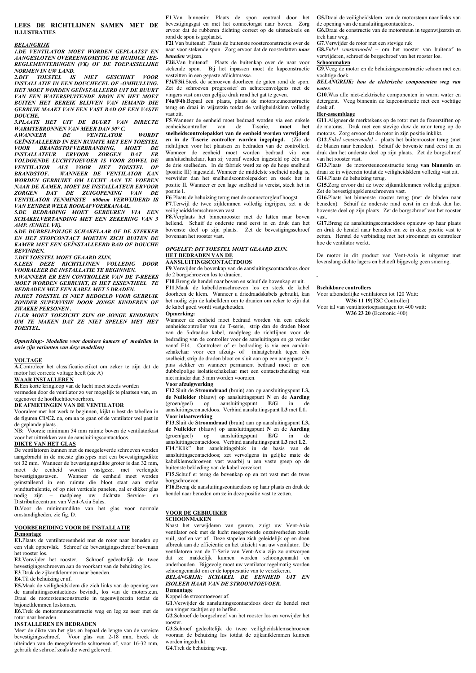### **LEES DE RICHTLIJNEN SAMEN MET DE ILLUSTRATIES**

### *BELANGRIJK*

*1.DE VENTILATOR MOET WORDEN GEPLAATST EN AANGESLOTEN OVEREENKOMSTIG DE HUIDIGE IEE-REGLEMENTERINGEN (VK) OF DE TOEPASSELIJKE NORMEN IN UW LAND.* 

*2.DIT TOESTEL IS NIET GESCHIKT VOOR INSTALLATIE IN EEN DOUCHECEL OF -OMHULLING. HET MOET WORDEN GEÏNSTALLEERD UIT DE BUURT VAN EEN WATERSPUITENDE BRON EN HET MOET BUITEN HET BEREIK BLIJVEN VAN IEMAND DIE GEBRUIK MAAKT VAN EEN VAST BAD OF EEN VASTE DOUCHE.* 

*3.PLAATS HET UIT DE BUURT VAN DIRECTE WARMTEBRONNEN VAN MEER DAN 50° C.* 

*4.WANNEER DE VENTILATOR WORDT GEÏNSTALLEERD IN EEN RUIMTE MET EEN TOESTEL VOOR BRANDSTOFVERBRANDING, MOET DE INSTALLATEUR ERVOOR ZORGEN DAT ER VOLDOENDE LUCHTTOEVOER IS VOOR ZOWEL DE VENTILATOR ALS VOOR HET TOESTEL OP BRANDSTOF. WANNEER DE VENTILATOR KAN WORDEN GEBRUIKT OM LUCHT AAN TE VOEREN NAAR DE KAMER, MOET DE INSTALLATEUR ERVOOR ZORGEN DAT DE ZUIGOPENING VAN DE VENTILATOR TENMINSTE 600mm VERWIJDERD IS VAN EENDER WELK ROOKAFVOERKANAAL.* 

*5.DE BEDRADING MOET GEBEUREN VIA EEN SCHAKELVERTANDING MET EEN ZEKERING VAN 3 AMP. (ENKEL VK).* 

*6.DE DUBBELPOLIGE SCHAKELAAR OF DE STEKKER EN HET STOPCONTACT MOETEN ZICH BUITEN DE KAMER MET EEN GEÏNSTALLEERD BAD OF DOUCHE BEVINDEN.* 

*7.DIT TOESTEL MOET GEAARD ZIJN.* 

*8.LEES DEZE RICHTLIJNEN VOLLEDIG DOOR VOORALEER DE INSTALLATIE TE BEGINNEN.* 

*9.WANNEER ER EEN CONTROLLER VAN DE T-REEKS MOET WORDEN GEBRUIKT, IS HET ESSENTIEEL TE BEDRADEN MET EEN KABEL MET 5 DRADEN.* 

*10.HET TOESTEL IS NIET BEDOELD VOOR GEBRUIK ZONDER SUPERVISIE DOOR JONGE KINDEREN OF*  **ZWAKKE PERSONEN** 

*11.ER MOET TOEZICHT ZIJN OP JONGE KINDEREN OM TE MAKEN DAT ZE NIET SPELEN MET HET TOESTEL.* 

*Opmerking:- Modellen voor donkere kamers of modellen in serie zijn varianten van deze modellen)* 

### **VOLTAGE**

**A.**Controleer het classificatie-etiket om zeker te zijn dat de motor het correcte voltage heeft (zie A)

### **WAAR INSTALLEREN**

**B.**Een korte kringloop van de lucht moet steeds worden vermeden door de ventilator zo ver mogelijk te plaatsen van, en

### tegenover de hoofluchttoevoerbron.

**DE AFMETINGEN VAN DE VENTILATOR**  Vooraleer met het werk te beginnen, kijkt u best de tabellen in de figuren **C1/C2.** na, om na te gaan of de ventilator wel past in de geplande plaats .

Voorzie minimum 54 mm ruimte boven de ventilatorkast voor het uittrekken van de aansluitingscontactdoos.

### **DIKTE VAN HET GLAS**

De ventilatoren kunnen met de meegeleverde schroeven worden aangebracht in de meeste glastypes met een bevestigingsdikte tot 32 mm. Wanneer de bevestigingsdikte groter is dan 32 mm, moet de eenheid worden vastgezet met verlengde bevestigingsstaven. Wanneer de eenheid moet worden geïnstalleerd in een ruimte die bloot staat aan sterke windturbulentie, of op niet verticale panelen, zal er dikker glas nodig zijn – raadpleeg uw dichtste Service- en Distributiecentrum van Vent-Axia Sales.

**D.**Voor de minimumdikte van het glas voor normale omstandigheden, zie fig. D.

### **VOORBEREIDING VOOR DE INSTALLATIE**

### **Demontage**

**E1.**Plaats de ventilatoreenheid met de rotor naar beneden op een vlak oppervlak. Schroef de bevestigingsschroef bovenaan het rooster los.

**E2**.Verwijder het rooster. Schroef gedeeltelijk de twee bevestigingsschroeven aan de voorkant van de behuizing los. **E3**.Druk de zijkantklemmen naar beneden.

**E4**.Til de behuizing er af.

**E5.**Maak de veiligheidsklem die zich links van de opening van de aansluitingscontactdoos bevindt, los van de motorsteun. Draai de motorsteunconstructie in tegenwijzerzin totdat de bajonetklemmen loskomen.

**E6.**Trek de motorsteunconstructie weg en leg ze neer met de rotor naar beneden.

### **INSTALLEREN EN BEDRADEN**

Meet de dikte van het glas en bepaal de lengte van de vereiste bevestigingsschroef. Voor glas van 2-18 mm, breek de uiteinden van de meegeleverde schroeven af; voor 16-32 mm, gebruik de schroef zoals die werd geleverd.

**F1**.Van binnenin: Plaats de spon centraal door het bevestigingsgat en met het connectorgat naar boven. Zorg ervoor dat de rubberen dichting correct op de uitsteeksels en rond de spon is geplaatst.

**F2i**.Van buitenaf: Plaats de buitenste roosterconstructie over de naar voor stekende spon. Zorg ervoor dat de roosterlatten *naar beneden* wijzen.

**F2ii.**Van buitenaf: Plaats de buitenkap over de naar voor stekende spon. Bij het inpassen moet de kapconstructie vastzitten in een gepaste afdichtmassa.

**F3i/F3ii**.Steek de schroeven doorheen de gaten rond de spon. Zet de schroeven progressief en achtereenvolgens met de vingers vast om een gelijke druk rond het gat te geven.

**F4a/F4b**.Bepaal een plaats, plaats de motorsteunconstructie terug en draai in wijzerzin totdat de veiligheidsklem volledig vast zit.

**F5**.Wanneer de eenheid moet bedraad worden via een enkele eenheidscontroller van de T-serie, **moet het snelheidscontrolepakket van de eenheid worden verwijderd en in de T-serie controller worden ingeplugd.** (Zie de richtlijnen voor het plaatsen en bedraden van de controller). Wanneer de eenheid moet worden bedraad via een aan/uitschakelaar, kan zij vooraf worden ingesteld op één van de drie snelheden. In de fabriek werd ze op de hoge snelheid (positie III) ingesteld. Wanneer de middelste snelheid nodig is, verwijder dan het snelheidscontrolepakket en steek het in positie II. Wanneer er een lage snelheid is vereist, steek het in positie I.

**F6**.Plaats de behuizing terug met de connectorgleuf hoogst. **F7**.Terwijl de twee zijklemmen volledig ingrijpen, zet u de

veiligheidsklemschroeven vast **F8.**Verplaats het binnenrooster met de latten naar boven hellend. Schuif de onderste rand eerst in en druk dan het

bovenste deel op zijn plaats. Zet de bevestigingsschroef bovenaan het rooster vast. *OPGELET: DIT TOESTEL MOET GEAARD ZIJN.* 

### **HET BEDRADEN VAN DE AANSLUITINGSCONTACTDOOS**

**F9**.Verwijder de bovenkap van de aansluitingscontactdoos door de 2 borgschroeven los te draaien.

**F10**.Breng de hendel naar boven en schuif de bovenkap er uit. **F11**.Maak de kabelklemschroeven los en steek de kabel doorheen de klem. Wanneer u driedraadskabels gebruikt, kan het nodig zijn de kabelklem om te draaien om zeker te zijn dat de kabel goed wordt vastgehouden.

### **Opmerking:**

Wanneer de eenheid moet bedraad worden via een enkele eenheidscontroller van de T-serie, strip dan de draden bloot van de 5-draadse kabel, raadpleeg de richtlijnen voor de bedrading van de controller voor de aansluitingen en ga verder vanaf F14. Controleer of er bedrading is via een aan/uitschakelaar voor een afzuig- of inlaatgebruik tegen één snelheid; strip de draden bloot en sluit aan op een aangepaste 3 pins stekker en wanneer permanent bedraad moet er een dubbelpolige isolatieschakelaar met een contactscheiding van niet minder dan 3 mm worden voorzien.

### **Voor afzuigwerking**

**F12**.Sluit de **Stroomdraad** (bruin) aan op aansluitingspunt **L3, de Nulleider** (blauw) op aansluitingspunt **N** en de **Aarding** (groen/geel) op aansluitingspunt **E/G** in de aansluitingscontactdoos. Verbind aansluitingspunt **L3** met **L1. Voor inlaatwerking** 

**F13**.Sluit de **Stroomdraad** (bruin) aan op aansluitingspunt **L3, de Nulleider** (blauw) op aansluitingspunt **N** en de **Aarding** (groen/geel) op aansluitingspunt **E/G** in de aansluitingscontactdoos. Verbind aansluitingspunt **L3** met **L2.** het aansluitingsblok in de basis van de aansluitingscontactdoos; zet vervolgens in gelijke mate de kabelklemschroeven vast waarbij u een vaste greep op de buitenste bekleding van de kabel verzekert.

**F15.**Schuif er terug de bovenkap op en zet vast met de twee borgschroeven.

**F16**.Breng de aansluitingscontactdoos op haar plaats en druk de hendel naar beneden om ze in deze positie vast te zetten.

### **VOOR DE GEBRUIKER**

### **SCHOONMAKEN**

Naast het verwijderen van geuren, zuigt uw Vent-Axia ventilator ook met de lucht meegevoerde onzuiverheden zoals vuil, stof en vet af. Deze stapelen zich geleidelijk op en doen afbreuk aan de efficiëntie en het uitzicht van uw ventilator. De ventilatoren van de T-Serie van Vent-Axia zijn zo ontworpen dat ze makkelijk kunnen worden schoongemaakt en onderhouden. Bijgevolg moet uw ventilator regelmatig worden schoongemaakt om er de topprestatie van te verzekeren.

### *BELANGRIJK; SCHAKEL DE EENHEID UIT EN ISOLEER HAAR VAN DE STROOMTOEVOER.* **Demontage**

### Koppel de stroomtoevoer af.

**G1**.Verwijder de aansluitingscontactdoos door de hendel met een vinger zachtjes op te heffen.

**G2**.Schroef de borgschroef van het rooster los en verwijder het rooster.

**G3**.Schroef gedeeltelijk de twee veiligheidsklemschroeven vooraan de behuizing los totdat de zijkantklemmen kunnen worden ingedrukt.

**G4**.Trek de behuizing weg.

**G5.**Draai de veiligheidsklem van de motorsteun naar links van de opening van de aansluitingscontactdoos.

**G6.**Draai de constructie van de motorsteun in tegenwijzerzin en trek haar weg.

**G7**.Verwijder de rotor met een stevige ruk

**G8.***Enkel venstermodel –* om het rooster van buitenaf te verwijderen, schroef de borgschroef van het rooster los.

**Schoonmaken** 

**G9**.Veeg de motor en de behuizingsconstructie schoon met een vochtige doek

*BELANGRIJK: hou de elektrische componenten weg van water.* 

**G10**.Was alle niet-elektrische componenten in warm water en detergent. Veeg binnenin de kapconstructie met een vochtige doek af.

### **Her-assemblage**

**G11**.Aligneer de merktekens op de rotor met de fixeerstiften op de motoras. Druk met een stevige duw de rotor terug op de motoras. Zorg ervoor dat de rotor in zijn positie inklikt.

**G12**.*Enkel venstermodel -* plaats het buitenrooster terug (met de bladen naar beneden). Schuif de bovenste rand eerst in en druk dan het onderste deel op zijn plaats. Zet de borgschroef van het rooster vast.

**G13.**Plaats de motorsteunconstructie terug **van binnenin** en draai ze in wijzerzin totdat de veiligheidsklem volledig vast zit. **G14**.Plaats de behuizing terug.

**G15.**Zorg ervoor dat de twee zijkantklemmen volledig grijpen. Zet de bevestigingsklemschroeven vast.

**G16.**Plaats het binnenste rooster terug (met de bladen naar beneden). Schuif de onderste rand eerst in en druk dan het bovenste deel op zijn plaats. Zet de borgschroef van het rooster vast.

**G17.**Breng de aansluitingscontactdoos opnieuw op haar plaats en druk de hendel naar beneden om ze in deze positie vast te zetten. Herstel de verbinding met het stroomnet en controleer hoe de ventilator werkt.

De motor in dit product van Vent-Axia is uitgerust met levenslang dichte lagers en behoeft bijgevolg geen smering.

### **Bschikbare controllers**

*.* 

Voor afzonderlijke ventilatoren tot 120 Watt: **W36 11 19**(TSC Controller)

Voor tal van ventilatortoepassingen tot 400 watt: **W36 23 20** (Ecotronic 400)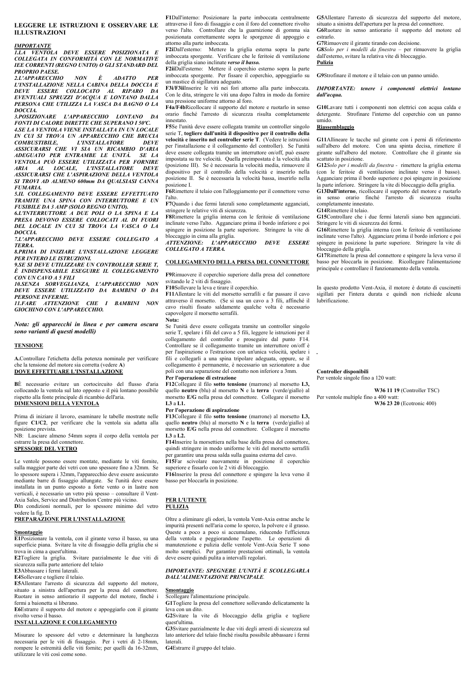### LEGGERE LE ISTRIIZIONI E OSSERVARE LE **ILLUSTRAZIONI**

### **IMPORTANTE**

**11.4 VENTOLA DEVE ESSERE POSIZIONATA E** COLLEGATA IN CONFORMITÀ CON LE NORMATIVE **IEE CORRENTI (REGNO UNITO) O GLI STANDARD DEL PROPRIO PAESE.** 

2.L'APPARECCHIO È **NON ADATTO PER** L'INSTALLAZIONE NELLA CABINA DELLA DOCCIA E **DEVE ESSERE COLLOCATO AL RIPARO DA EVENTUALI SPRUZZI D'ACQUA E LONTANO DALLA** PERSONA CHE UTILIZZA LA VASCA DA BAGNO O LA  $DOCCA$ 

3.POSIZIONARE L'APPARECCHIO LONTANO FONTI DI CALORE DIRETTE CHE SUPERANO I 50°C. 4.SE LA VENTOLA VIENE INSTALLATA IN UN LOCALE IN CUI SI TROVA UN APPARECCHIO CHE BRUCIA **COMBUSTIBILE. L'INSTALLATORE DEVE** ASSICURARSI CHE VI SIA UN RICAMBIO D'ARIA ADEGUATO PER ENTRAMBE LE UNITÀ.  $SE$  LA VENTOLA PUÒ ESSERE UTILIZZATA PER FORNIRE ARIA AL LOCALE, L'INSTALLATORE DEVE ASSICURARSI CHE L'ASPIRAZIONE DELLA VENTOLA SI TROVI AD ALMENO 600mm DA QUALSIASI CANNA **FUMARIA** 

**5 IL COLLEGAMENTO DEVE ESSERE EFFETTUATO TRAMITE UNA SPINA CON INTERRUTTORE E UN FUSIBILE DA 3 AMP (SOLO REGNO UNITO).** 

6.L'INTERRUTTORE A DUE POLI O LA SPINA E LA PRESA DEVONO ESSERE COLLOCATI AL DI FUORI DEL LOCALE IN CUI SI TROVA LA VASCA O LA DOCCIA.

**7.L'APPARECCHIO DEVE ESSERE COLLEGATO A TERRA** 

*RPRIMA DI INIZIARE L'INSTALLAZIONE LEGGERE* PER INTERO LE ISTRUZIONI.

9. SE SI DEVE UTILIZZARE UN CONTROLLER SERIE T, È INDISPENSABILE ESEGUIRE IL COLLEGAMENTO CON UN CAVO A 5 FILI

10.SENZA SORVEGLIANZA. L'APPARECCHIO NON DEVE ESSERE UTILIZZATO DA BAMBINI O DA **PERSONE INFERME** 

11.FARE ATTENZIONE CHE I BAMBINI NON GIOCHINO CON L'APPARECCHIO.

Nota: gli apparecchi in linea e per camera oscura sono varianti di questi modelli)

### **TENSIONE**

A.Controllare l'etichetta della potenza nominale per verificare che la tensione del motore sia corretta (vedere A) DOVE EFFETTUARE L'INSTALLAZIONE

BÈ necessario evitare un cortocircuito del flusso d'aria collocando la ventola sul lato opposto e il più lontano possibile rispetto alla fonte principale di ricambio dell'aria. **DIMENSIONI DELLA VENTOLA** 

Prima di iniziare il lavoro, esaminare le tabelle mostrate nelle figure C1/C2, per verificare che la ventola sia adatta alla posizione prevista.

NB: Lasciare almeno 54mm sopra il corpo della ventola per estrarre la presa del connettore. **SPESSORE DEL VETRO** 

Le ventole possono essere montate, mediante le viti fornite, sulla maggior parte dei vetri con uno spessore fino a 32mm. Se

lo spessore supera i 32mm, l'apparecchio deve essere assicurato mediante barre di fissaggio allungate. Se l'unità deve essere installata in un punto esposto a forte vento o in lastre non verticali, è necessario un vetro più spesso - consultare il Vent-Axia Sales, Service and Distribution Centre più vicino.

DIn condizioni normali, per lo spessore minimo del vetro vedere la fig. D.

### PREPARAZIONE PER L'INSTALLAZIONE

### Smontaggio

E1Posizionare la ventola, con il girante verso il basso, su una superficie piana. Svitare la vite di fissaggio della griglia che si trova in cima a quest'ultima.

E2Togliere la griglia. Svitare parzialmente le due viti di sicurezza sulla parte anteriore del telaio

E3Abbassare i fermi laterali.

E4Sollevare e togliere il telaio

E5Allentare l'arresto di sicurezza del supporto del motore, situato a sinistra dell'apertura per la presa del connettore. Ruotare in senso antiorario il supporto del motore, finché i fermi a baionetta si liberano.

E6Estrarre il supporto del motore e appoggiarlo con il girante rivolto verso il basso

### **INSTALLAZIONE E COLLEGAMENTO**

Misurare lo spessore del vetro e determinare la lunghezza necessaria per le viti di fissaggio. Per i vetri di 2-18mm, rompere le estremità delle viti fornite; per quelli da 16-32mm, utilizzare le viti così come sono

F1Dall'interno: Posizionare la parte imboccata centralmente attraverso il foro di fissaggio e con il foro del connettore rivolto verso l'alto. Controllare che la guarnizione di gomma sia posizionata correttamente sopra le sporgenze di appoggio e attorno alla parte imboccata.

F2iDall'esterno: Mettere la griglia esterna sopra la parte imboccata sporgente. Verificare che le feritoie di ventilazione della griglia siano inclinate verso il basso.

F2iiDall'esterno: Mettere il coperchio esterno sopra la parte imboccata sporgente. Per fissare il coperchio, appoggiarlo su un mastice di sigillatura adeguato.

**E3i/E3iiInserire** le viti nei fori attorno alla narte imboccata Con le dita, stringere le viti una dopo l'altra in modo da fornire una pressione uniforme attorno al foro.

F4a/F4bRicollocare il supporto del motore e ruotarlo in senso orario finché l'arresto di sicurezza risulta completamente innestato.

F5Se l'unità deve essere collegata tramite un controller singolo serie T, togliere dall'unità il dispositivo per il controllo della velocità e inserito nel controller serie T. (Vedere le istruzioni per l'installazione e il collegamento del controller). Se l'unità deve essere collegata tramite un interruttore on/off, può essere impostata su tre velocità. Quella preimpostata è la velocità alta (posizione III). Se è necessaria la velocità media, rimuovere il dispositivo per il controllo della velocità e inserirlo nella posizione II. Se è necessaria la velocità bassa, inserirlo nella posizione L

F6R imettere il telajo con l'alloggiamento per il connettore verso l'alto.

F7Quando i due fermi laterali sono completamente agganciati, stringere le relative viti di sicurezza.

F8Rimettere la griglia interna con le feritoie di ventilazione inclinate verso l'alto. Agganciare prima il bordo inferiore e poi spingere in posizione la parte superiore. Stringere la vite di bloccaggio in cima alla griglia

ATTENZIONE: L'APPARECCHIO DEVE ESSERE COLLEGATO A TERRA.

### **COLLEGAMENTO DELLA PRESA DEL CONNETTORE**

F9Rimuovere il coperchio superiore dalla presa del connettore svitando le 2 viti di fissaggio

F10Sollevare la leva e tirare il coperchio.

F11Allentare le viti del morsetto serrafili e far passare il cavo attraverso il morsetto. (Se si usa un cavo a 3 fili, affinché il cavo risulti fissato saldamente qualche volta è necessario capovolgere il morsetto serrafili.

Nota:

Se l'unità deve essere collegata tramite un controller singolo serie T, spelare i fili del cavo a 5 fili, leggere le istruzioni per il collegamento del controller e proseguire dal punto F14. Controllare se il collegamento tramite un interruttore on/off è per l'aspirazione o l'estrazione con un'unica velocità, spelare i fili e collegarli a una spina tripolare adeguata, oppure, se il collegamento è permanente, è necessario un sezionatore a due poli con una separazione del contatto non inferiore a 3mm. Per l'operazione di estrazione

F12Collegare il filo sotto tensione (marrone) al morsetto L3, quello neutro (blu) al morsetto N e la terra (verde/giallo) al morsetto E/G nella presa del connettore. Collegare il morsetto  $1.3aL1.$ 

### Per l'operazione di aspirazione

F13Collegare il filo sotto tensione (marrone) al morsetto L3, quello neutro (blu) al morsetto N e la terra (verde/giallo) al morsetto E/G nella presa del connettore. Collegare il morsetto  $1.3 \times 1.2$ 

F14Inserire la morsettiera nella base della presa del connettore, quindi stringere in modo uniforme le viti del morsetto serrafili per garantire una presa salda sulla guaina esterna del cavo.

F15Far scivolare nuovamente in posizione il coperchio superiore e fissarlo con le 2 viti di bloccaggio.

F16Inserire la presa del connettore e spingere la leva verso il basso per bloccarla in posizione.

### PER L'UTENTE **PULIZIA**

Oltre a eliminare gli odori, la ventola Vent-Axia estrae anche le impurità presenti nell'aria come lo sporco, la polvere e il grasso. Queste a poco a poco si accumulano, riducendo l'efficienza della ventola e peggiorandone l'aspetto. Le operazioni di manutenzione e pulizia delle ventole Vent-Axia Serie T sono<br>molto semplici. Per garantire prestazioni ottimali, la ventola deve essere quindi pulita a intervalli regolari.

### **IMPORTANTE: SPEGNERE L'UNITÀ E SCOLLEGARLA DALL'ALIMENTAZIONE PRINCIPALE.**

### Smontaggio

Scollegare l'alimentazione principale.

G1Togliere la presa del connettore sollevando delicatamente la  $leva$  con un dito.

G2Svitare la vite di bloccaggio della griglia e togliere quest'ultima

G3Svitare parzialmente le due viti degli arresti di sicurezza sul lato anteriore del telaio finché risulta possibile abbassare i fermi laterali.

G4Estrarre il gruppo del telaio.

G5Allentare l'arresto di sicurezza del supporto del motore, situato a sinistra dell'apertura per la presa del connettore.

G6Ruotare in senso antiorario il supporto del motore ed estrarlo G7Rimuovere il girante tirando con decisione.

G8Solo per i modelli da finestra - per rimuovere la griglia dall'esterno, svitare la relativa vite di bloccaggio. Pulizia

G9Strofinare il motore e il telaio con un panno umido.

**IMPORTANTE:** tenere i componenti elettrici lontano dall'acaua.

G10Lavare tutti i componenti non elettrici con acqua calda e detergente. Strofinare l'interno del coperchio con un panno umido

### Riassemblaggio

G11Allineare le tacche sul girante con i perni di riferimento sull'albero del motore. Con una spinta decisa, rimettere il girante sull'albero del motore. Controllare che il girante sia scattato in posizione.

G12Solo per i modelli da finestra - rimettere la griglia esterna (con le feritoie di ventilazione inclinate verso il basso). Agganciare prima il bordo superiore e poi spingere in posizione la parte inferiore. Stringere la vite di bloccaggio della griglia.

G13Dall'interno, ricollocare il supporto del motore e ruotarlo in senso orario finché l'arresto di sicurezza risulta completamente innestato.

G14Rimettere il telaio.

G15Controllare che i due fermi laterali siano ben agganciati. Stringere le viti di sicurezza dei fermi.

G16Rimettere la griglia interna (con le feritoie di ventilazione inclinate verso l'alto). Agganciare prima il bordo inferiore e poi spingere in posizione la parte superiore. Stringere la vite di bloccaggio della griglia.

G17Rimettere la presa del connettore e spingere la leva verso il basso per bloccarla in posizione. Ricollegare l'alimentazione principale e controllare il funzionamento della ventola.

In questo prodotto Vent-Axia, il motore è dotato di cuscinetti sigillati per l'intera durata e quindi non richiede alcuna lubrificazione.

Controller disponibili

Per ventole singole fino a 120 watt:

W36 11 19 (Controller TSC) Per ventole multiple fino a 400 watt:

W36 23 20 (Ecotronic 400)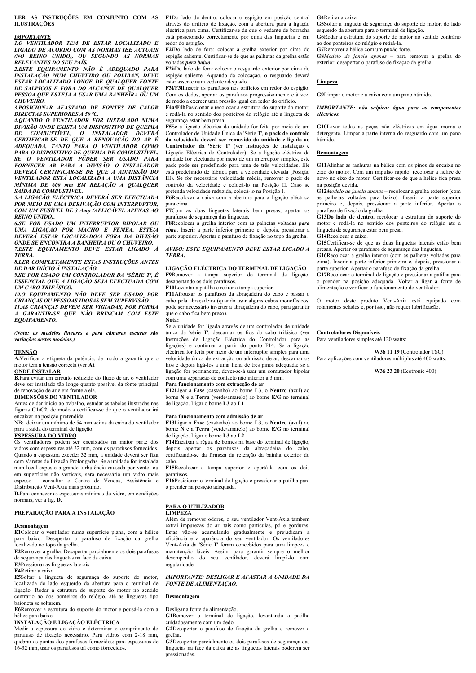**LER AS INSTRUÇÕES EM CONJUNTO COM AS F1**Do lado de dentro: colocar o espigão em posição central **ILUSTRAÇÕES** 

### *IMPORTANTE*

*1.O VENTILADOR TEM DE ESTAR LOCALIZADO E LIGADO DE ACORDO COM AS NORMAS IEE ACTUAIS (NO REINO UNIDO), OU SEGUNDO AS NORMAS RELEVANTES DO SEU PAÍS.* 

*2.ESTE EQUIPAMENTO NÃO É ADEQUADO PARA INSTALAÇÃO NUM CHUVEIRO OU POLIBAN, DEVE ESTAR LOCALIZADO LONGE DE QUALQUER FONTE DE SALPICOS E FORA DO ALCANCE DE QUALQUER PESSOA QUE ESTEJA A USAR UMA BANHEIRA OU UM CHUVEIRO.* 

*3.POSICIONAR AFASTADO DE FONTES DE CALOR DIRECTAS SUPERIORES A 50 ºC.* 

*4.QUANDO O VENTILADOR FOR INSTALADO NUMA DIVISÃO ONDE EXISTA UM DISPOSITIVO DE QUEIMA DE COMBUSTÍVEL, O INSTALADOR DEVERÁ CERTIFICAR-SE DE QUE A RENOVAÇÃO DO AR É ADEQUADA, TANTO PARA O VENTILADOR COMO PARA O DISPOSITIVO DE QUEIMA DE COMBUSTÍVEL. SE O VENTILADOR PUDER SER USADO PARA FORNECER AR PARA A DIVISÃO, O INSTALADOR DEVERÁ CERTIFICAR-SE DE QUE A ADMISSÃO DO VENTILADOR ESTÁ LOCALIZADA A UMA DISTÂNCIA MÍNIMA DE 600 mm EM RELAÇÃO A QUALQUER SAÍDA DE COMBUSTÍVEL.* 

*5.A LIGAÇÃO ELÉCTRICA DEVERÁ SER EFECTUADA POR MEIO DE UMA DERIVAÇÃO COM INTERRUPTOR, COM UM FUSÍVEL DE 3 Amp (APLICÁVEL APENAS AO REINO UNIDO).* 

*6.SE FOR USADO UM INTERRUPTOR BIPOLAR OU UMA LIGAÇÃO POR MACHO E FÊMEA, ESTE/A DEVERÁ ESTAR LOCALIZADO/A FORA DA DIVISÃO ONDE SE ENCONTRA A BANHEIRA OU O CHUVEIRO.* 

*7.ESTE EQUIPAMENTO DEVE ESTAR LIGADO À TERRA.* 

*8.LER COMPLETAMENTE ESTAS INSTRUÇÕES ANTES DE DAR INÍCIO À INSTALAÇÃO.* 

*9.SE FOR USADO UM CONTROLADOR DA 'SÉRIE T', É ESSENCIAL QUE A LIGAÇÃO SEJA EFECTUADA COM UM CABO TRIFÁSICO.* 

*10.O EQUIPAMENTO NÃO DEVE SER USADO POR CRIANÇAS OU PESSOAS IDOSAS SEM SUPERVISÃO. 11.AS CRIANÇAS DEVEM SER VIGIADAS, POR FORMA A GARANTIR-SE QUE NÃO BRINCAM COM ESTE EQUIPAMENTO.* 

*(Nota: os modelos lineares e para câmaras escuras são variações destes modelos.)* 

### **TENSÃO**

**A.**Verificar a etiqueta da potência, de modo a garantir que o motor tem a tensão correcta (ver **A**).

**ONDE INSTALAR B.**Para evitar um circuito reduzido do fluxo de ar, o ventilador deve ser instalado tão longe quanto possível da fonte principal de renovação de ar e em frente a ela.

### **DIMENSÕES DO VENTILADOR**

Antes de dar início ao trabalho, estudar as tabelas ilustradas nas figuras **C1**/**C2**, de modo a certificar-se de que o ventilador irá encaixar na posição pretendida.

NB: deixar um mínimo de 54 mm acima da caixa do ventilador para a saída do terminal de ligação.

### **ESPESSURA DO VIDRO**

Os ventiladores podem ser encaixados na maior parte dos vidros com espessuras até 32 mm, com os parafusos fornecidos. Quando a espessura exceder 32 mm, a unidade deverá ser fixa com Varetas de Fixação Prolongadas. Se a unidade for instalada num local exposto a grande turbulência causada por vento, ou em superfícies não verticais, será necessário um vidro mais espesso – consultar o Centro de Vendas, Assistência e Distribuição Vent-Axia mais próximo.

**D.**Para conhecer as espessuras mínimas do vidro, em condições normais, ver a fig. **D**.

### **PREPARAÇÃO PARA A INSTALAÇÃO**

### **Desmontagem**

**E1**Colocar o ventilador numa superfície plana, com a hélice para baixo. Desapertar o parafuso de fixação da grelha localizado no topo da grelha.

**E2**Remover a grelha. Desapertar parcialmente os dois parafusos de segurança das linguetas na face da caixa.

**E3**Pressionar as linguetas laterais.

### **E4**Retirar a caixa.

**E5**Soltar a lingueta de segurança do suporte do motor, localizada do lado esquerdo da abertura para o terminal de ligação. Rodar a estrutura do suporte do motor no sentido contrário ao dos ponteiros do relógio, até as linguetas tipo baioneta se soltarem.

**E6**Remover a estrutura do suporte do motor e pousá-la com a hélice para baixo.

**INSTALAÇÃO E LIGAÇÃO ELÉCTRICA**  Medir a espessura do vidro e determinar o comprimento do parafuso de fixação necessário. Para vidros com 2-18 mm, quebrar as pontas dos parafusos fornecidos; para espessuras de 16-32 mm, usar os parafusos tal como fornecidos.

através do orifício de fixação, com a abertura para a ligação eléctrica para cima. Certificar-se de que o vedante de borracha está posicionado correctamente por cima das linguetas e em redor do espigão.

**F2i**Do lado de fora: colocar a grelha exterior por cima do espigão saliente. Certificar-se de que as palhetas da grelha estão voltadas *para baixo*.

**F2ii**Do lado de fora: colocar o resguardo exterior por cima do espigão saliente. Aquando da colocação, o resguardo deverá estar assente num vedante adequado.

**F3i/F3ii**Inserir os parafusos nos orifícios em redor do espigão. Com os dedos, apertar os parafusos progressivamente e à vez, de modo a exercer uma pressão igual em redor do orifício.

**F4a/F4b**Posicionar e recolocar a estrutura do suporte do motor, e rodá-la no sentido dos ponteiros do relógio até a lingueta de segurança estar bem presa.

**F5**Se a ligação eléctrica da unidade for feita por meio de um Controlador de Unidade Única da 'Série T', **o pack de controlo da velocidade deverá ser removido da unidade e ligado ao Controlador da 'Série T'** (ver Instruções de Instalação e Ligação Eléctrica do Controlador). Se a ligação eléctrica da unidade for efectuada por meio de um interruptor simples, este pack pode ser predefinido para uma de três velocidades. Ele está predefinido de fábrica para a velocidade elevada (Posição III). Se for necessário velocidade média, remover o pack de controlo da velocidade e colocá-lo na Posição II. Caso se pretenda velocidade reduzida, colocá-lo na Posição I.

**F6**Recolocar a caixa com a abertura para a ligação eléctrica para cima.

**F7**Com as duas linguetas laterais bem presas, apertar os parafusos de segurança das linguetas.

**F8**Recolocar a grelha interior com as palhetas voltadas *para cima*. Inserir a parte inferior primeiro e, depois, pressionar a parte superior. Apertar o parafuso de fixação no topo da grelha.

### *AVISO: ESTE EQUIPAMENTO DEVE ESTAR LIGADO À TERRA.*

### **LIGAÇÃO ELÉCTRICA DO TERMINAL DE LIGAÇÃO**

**F9**Remover a tampa superior do terminal de ligação, desapertando os dois parafusos.

**F10**Levantar a patilha e retirar a tampa superior. **F11**Afrouxar os parafusos da abraçadeira do cabo e passar o

cabo pela abraçadeira (quando usar alguns cabos monofásicos, pode ser necessário inverter a abraçadeira do cabo, para garantir que o cabo fica bem preso). **Nota:** 

Se a unidade for ligada através de um controlador de unidade única da 'série T', descarnar os fios do cabo trifásico (ver Instruções de Ligação Eléctrica do Controlador para as ligações) e continuar a partir do ponto F14. Se a ligação eléctrica for feita por meio de um interruptor simples para uma velocidade única de extracção ou admissão de ar, descarnar os fios e depois ligá-los a uma ficha de três pinos adequada; se a ligação for permanente, dever-se-á usar um comutador bipolar com uma separação de contacto não inferior a 3 mm.

### **Para funcionamento com extracção de ar**

**F12**Ligar a **Fase** (castanho) ao borne **L3**, o **Neutro** (azul) ao borne **N** e a **Terra** (verde/amarelo) ao borne **E/G** no terminal de ligação. Ligar o borne **L3** ao **L1**.

### **Para funcionamento com admissão de ar**

**F13**Ligar a **Fase** (castanho) ao borne **L3**, o **Neutro** (azul) ao borne **N** e a **Terra** (verde/amarelo) ao borne **E/G** no terminal de ligação. Ligar o borne **L3** ao **L2**.

**F14**Encaixar a régua de bornes na base do terminal de ligação, depois apertar os parafusos da abraçadeira do cabo, certificando-se da firmeza da retenção da bainha exterior do cabo.

**F15**Recolocar a tampa superior e apertá-la com os dois parafusos.

**F16**Posicionar o terminal de ligação e pressionar a patilha para o prender na posição adequada.

### **PARA O UTILIZADOR LIMPEZA**

Além de remover odores, o seu ventilador Vent-Axia também extrai impurezas do ar, tais como partículas, pó e gorduras. Estas vão-se acumulando gradualmente e prejudicam a eficiência e a aparência do seu ventilador. Os ventiladores Vent-Axia da 'Série T' foram concebidos para uma limpeza e manutenção fáceis. Assim, para garantir sempre o melhor desempenho do seu ventilador, deverá limpá-lo com regularidade.

## *FONTE DE ALIMENTAÇÃO.*

### **Desmontagem**

Desligar a fonte de alimentação.

grelha.

pressionadas.

**G4**Retirar a caixa.

**G5**Soltar a lingueta de segurança do suporte do motor, do lado esquerdo da abertura para o terminal de ligação.

**G6**Rodar a estrutura do suporte do motor no sentido contrário ao dos ponteiros do relógio e retirá-la.

**G7**Remover a hélice com um puxão forte.

**G8***Modelo de janela apenas* – para remover a grelha do exterior, desapertar o parafuso de fixação da grelha.

### **Limpeza**

**G9**Limpar o motor e a caixa com um pano húmido.

### *IMPORTANTE: não salpicar água para os componentes eléctricos.*

**G10**Lavar todas as peças não eléctricas em água morna e detergente. Limpar a parte interna do resguardo com um pano húmido.

### **Remontagem**

**G11**Alinhar as ranhuras na hélice com os pinos de encaixe no eixo do motor. Com um impulso rápido, recolocar a hélice de novo no eixo do motor. Certificar-se de que a hélice fica presa na posição devida.

**G12***Modelo de janela apenas* – recolocar a grelha exterior (com as palhetas voltadas para baixo). Inserir a parte superior primeiro e, depois, pressionar a parte inferior. Apertar o parafuso de fixação da grelha.

**G13Do lado de dentro**, recolocar a estrutura do suporte do motor e rodá-la no sentido dos ponteiros do relógio até a lingueta de segurança estar bem presa. **G14**Recolocar a caixa.

**G15**Certificar-se de que as duas linguetas laterais estão bem

presas. Apertar os parafusos de segurança das linguetas. **G16**Recolocar a grelha interior (com as palhetas voltadas para cima). Inserir a parte inferior primeiro e, depois, pressionar a parte superior. Apertar o parafuso de fixação da grelha.

**G17**Recolocar o terminal de ligação e pressionar a patilha para o prender na posição adequada. Voltar a ligar a fonte de alimentação e verificar o funcionamento do ventilador.

O motor deste produto Vent-Axia está equipado com rolamentos selados e, por isso, não requer lubrificação.

### **Controladores Disponíveis**

Para ventiladores simples até 120 watts:

**W36 11 19** (Controlador TSC) Para aplicações com ventiladores múltiplos até 400 watts:

 **W36 23 20** (Ecotronic 400)

# *IMPORTANTE: DESLIGAR E AFASTAR A UNIDADE DA*

**G1**Remover o terminal de ligação, levantando a patilha

cuidadosamente com um dedo. **G2**Desapertar o parafuso de fixação da grelha e remover a

**G3**Desapertar parcialmente os dois parafusos de segurança das linguetas na face da caixa até as linguetas laterais poderem ser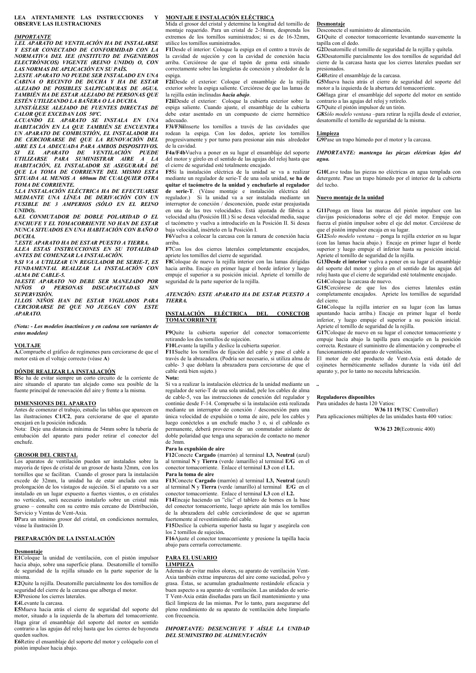**LEA ATENTAMENTE LAS INSTRUCCIONES Y OBSERVE LAS ILUSTRACIONES** 

### *IMPORTANTE*

*1.EL APARATO DE VENTILACIÓN HA DE INSTALARSE Y ESTAR CONECTADO DE CONFORMIDAD CON LA NORMATIVA DEL IEE (INSTITUTO DE INGENIEROS ELECTRÓNICOS) VIGENTE (REINO UNIDO) O, CON LAS NORMAS DE APLICACIÓN EN SU PAÍS.* 

*2.ESTE APARATO NO PUEDE SER INSTALADO EN UNA CABINA O RECINTO DE DUCHA Y HA DE ESTAR ALEJADO DE POSIBLES SALPICADURAS DE AGUA. TAMBIÉN HA DE ESTAR ALEJADO DE PERSONAS QUE ESTÉN UTILIZANDO LA BAÑERA O LA DUCHA.* 

*3.INSTÁLESE ALEJADO DE FUENTES DIRECTAS DE CALOR QUE EXCEDAN LOS 50ºC.* 

*4.CUANDO EL APARATO SE INSTALA EN UNA HABITACIÓN EN LA QUE TAMBIÉN SE ENCUENTRA UN APARATO DE COMBUSTIÓN, EL INSTALADOR HA DE CERCIORARSE DE QUE LA RENOVACIÓN DEL AIRE ES LA ADECUADA PARA AMBOS DISPOSITIVOS. SI EL APARATO DE VENTILACIÓN PUEDE UTILIZARSE PARA SUMINISTRAR AIRE A LA HABITACIÓN, EL INSTALADOR SE ASEGURARÁ DE QUE LA TOMA DE CORRIENTE DEL MISMO ESTA SITUADA AL MENOS A 600mm DE CUALQUIER OTRA TOMA DE CORRIENTE.* 

*5.LA INSTALACIÓN ELÉCTRICA HA DE EFECTUARSE MEDIANTE UNA LÍNEA DE DERIVACIÓN CON UN FUSIBLE DE 3 AMPERIOS (SÓLO EN EL REINO UNIDO).* 

*6.EL CONMUTADOR DE DOBLE POLARIDAD O EL ENCHUFE Y EL TOMACORRIENTE NO HAN DE ESTAR NUNCA SITUADOS EN UNA HABITACIÓN CON BAÑO O DUCHA.* 

*7.ESTE APARATO HA DE ESTAR PUESTO A TIERRA. 8.LEA ESTAS INSTRUCCIONES EN SU TOTALIDAD* 

*ANTES DE COMENZAR LA INSTALACIÓN.* 

*9.SI VA A UTILIZAR UN REGULADOR DE SERIE-T, ES FUNDAMENTAL REALIZAR LA INSTALACIÓN CON ALMA DE CABLE-5.* 

*10.ESTE APARATO NO DEBE SER MANEJADO POR NIÑOS O PERSONAS DISCAPACITADAS SIN SUPERVISIÓN.* 

*11.LOS NIÑOS HAN DE ESTAR VIGILADOS PARA CERCIORARSE DE QUE NO JUEGAN CON ESTE APARATO.* 

*(Nota: - Los modelos inactínicos y en cadena son variantes de estos modelos)* 

### **VOLTAJE**

**A.**Compruebe el gráfico de regímenes para cerciorarse de que el motor está en el voltaje correcto (véase **A**)

### **DÓNDE REALIZAR LA INSTALACIÓN**

**B**Se ha de evitar siempre un corto circuito de la corriente de aire situando el aparato tan alejado como sea posible de la fuente principal de renovación del aire y frente a la misma.

### **DIMENSIONES DEL APARATO**

Antes de comenzar el trabajo, estudie las tablas que aparecen en las ilustraciones **C1/C2**, para cerciorarse de que el aparato encajará en la posición indicada.

Nota: Deje una distancia mínima de 54mm sobre la tubería de entubación del aparato para poder retirar el conector del enchufe.

### **GROSOR DEL CRISTAL**

Los aparatos de ventilación pueden ser instalados sobre la mayoría de tipos de cristal de un grosor de hasta 32mm, con los tornillos que se facilitan. Cuando el grosor para la instalación excede de 32mm, la unidad ha de estar anclada con una prolongación de los vástagos de sujeción. Si el aparato va a ser instalado en un lugar expuesto a fuertes vientos, o en cristales no verticales, será necesario instalarlo sobre un cristal más grueso – consulte con su centro más cercano de Distribución, Servicio y Ventas de Vent-Axia.

**D**Para un mínimo grosor del cristal, en condiciones normales, véase la ilustración D.

### **PREPARACIÓN DE LA INSTALACIÓN**

### **Desmontaje**

**E1**Coloque la unidad de ventilación, con el pistón impulsor hacia abajo, sobre una superficie plana. Desatornille el tornillo de seguridad de la rejilla situado en la parte superior de la misma.

**E2**Quite la rejilla. Desatornille parcialmente los dos tornillos de seguridad del cierre de la carcasa que alberga el motor. **E3**Presione los cierres laterales.

**E4**Levante la carcasa.

**E5**Mueva hacia atrás el cierre de seguridad del soporte del motor, situado a la izquierda de la abertura del tomacorriente. Haga girar el ensamblaje del soporte del motor en sentido contrario a las agujas del reloj hasta que los cierres de bayoneta queden sueltos.

**E6**Retire el ensamblaje del soporte del motor y colóquelo con el pistón impulsor hacia abajo.

### **MONTAJE E INSTALACIÓN ELÉCTRICA**

Mida el grosor del cristal y determine la longitud del tornillo de montaje requerido. Para un cristal de 2-18mm, desprenda los extremos de los tornillos suministrados; si es de 16-32mm utilice los tornillos suministrados.

**F1**Desde el interior: Coloque la espiga en el centro a través de la cavidad de sujeción y con la cavidad de conexión hacia arriba. Cerciórese de que el tapón de goma está situado correctamente sobre las lengüetas de conexión y alrededor de la espiga.

**F2i**Desde el exterior: Coloque el ensamblaje de la rejilla exterior sobre la espiga saliente. Cerciórese de que las lamas de la rejilla están inclinadas *hacia abajo*.

**F2ii**Desde el exterior: Coloque la cubierta exterior sobre la espiga saliente. Cuando ajuste, el ensamblaje de la cubierta debe estar asentado en un compuesto de cierre hermético adecuado.

**F3i/F3ii**Inserte los tornillos a través de las cavidades que rodean la espiga. Con los dedos, apriete los tornillos progresivamente y por turno para presionar aún más alrededor de la cavidad.

**F4a/F4b**Vuelva a poner en su lugar el ensamblaje del soporte del motor y gírelo en el sentido de las agujas del reloj hasta que el cierre de seguridad esté totalmente encajado.

**F5**Si la instalación eléctrica de la unidad se va a realizar mediante un regulador de serie-T de una sola unidad, **se ha de quitar el tacómetro de la unidad y enchufarlo al regulador de serie-T**. (Véase montaje e instalación eléctrica del regulador.) Si la unidad va a ser instalada mediante un interruptor de conexión / desconexión, puede estar preajustada

en una de las tres velocidades. Está ajustada de fábrica a velocidad alta (Posición III.) Si se desea velocidad media, saque el tacómetro y vuelva a introducirlo en la Posición II. Si desea baja velocidad, insértelo en la Posición I. **F6**Vuelva a colocar la carcasa con la ranura de conexión hacia

arriba.

**F7**Con los dos cierres laterales completamente encajados, apriete los tornillos del cierre de seguridad.

**F8**Coloque de nuevo la rejilla interior con las lamas dirigidas hacia arriba. Encaje en primer lugar el borde inferior y luego empuje el superior a su posición inicial. Apriete el tornillo de seguridad de la parte superior de la rejilla.

### *ATENCIÓN: ESTE APARATO HA DE ESTAR PUESTO A TIERRA.*

### **INSTALACIÓN ELÉCTRICA DEL CONECTOR TOMACORRIENTE**

**F9**Quite la cubierta superior del conector tomacorriente retirando los dos tornillos de sujeción.

**F10**Levante la tapilla y deslice la cubierta superior.

**F11**Suelte los tornillos de fijación del cable y pase el cable a través de la abrazadera. (Podría ser necesario, si utiliza alma de cable- 3 que doblara la abrazadera para cerciorarse de que el cable está bien sujeto.)

**Nota:** 

Si va a realizar la instalación eléctrica de la unidad mediante un regulador de serie-T de una sola unidad, pele los cables de alma de cable-5, vea las instrucciones de conexión del regulador y continúe desde F-14. Compruebe si la instalación está realizada mediante un interruptor de conexión / desconexión para una única velocidad de expulsión o toma de aire, pele los cables y luego conéctelos a un enchufe macho 3 o, si el cableado es permanente, deberá proveerse de un conmutador aislante de doble polaridad que tenga una separación de contacto no menor de 3mm.

### **Para la expulsión de aire**

**F12**Conecte **Cargado** (marrón) al terminal **L3, Neutral** (azul) al terminal **N** y **Tierra** (verde /amarillo) al terminal **E/G** en el conector tomacorriente. Enlace el terminal **L3** con el **L1. Para la toma de aire** 

**F13**Conecte **Cargado** (marrón) al terminal **L3, Neutral** (azul) al terminal **N** y **Tierra** (verde /amarillo) al terminal **E/G** en el conector tomacorriente. Enlace el terminal **L3** con el **L2.**

**F14**Encaje haciendo un "clic" el tablero de bornes en la base del conector tomacorriente, luego apriete aún más los tornillos de la abrazadera del cable cerciorándose de que se agarran fuertemente al revestimiento del cable.

**F15**Deslice la cubierta superior hasta su lugar y asegúrela con los 2 tornillos de sujeción**.**

**F16**Ajuste el conector tomacorriente y presione la tapilla hacia abajo para cerrarla correctamente.

### **PARA EL USUARIO LIMPIEZA**

Además de evitar malos olores, su aparato de ventilación Vent-Axia también extrae impurezas del aire como suciedad, polvo y grasa. Éstas, se acumulan gradualmente restándole eficacia y buen aspecto a su aparato de ventilación. Las unidades de serie-T Vent-Axia están diseñadas para un fácil mantenimiento y una fácil limpieza de las mismas. Por lo tanto, para asegurarse del pleno rendimiento de su aparato de ventilación debe limpiarlo con frecuencia.

*IMPORTANTE: DESENCHUFE Y AÍSLE LA UNIDAD DEL SUMINISTRO DE ALIMENTACIÓN* 

### **Desmontaje**

Desconecte el suministro de alimentación.

**G1**Quite el conector tomacorriente levantando suavemente la tapilla con el dedo.

**G2**Desatornille el tornillo de seguridad de la rejilla y quítela. **G3**Desatornille parcialmente los dos tornillos de seguridad del cierre de la carcasa hasta que los cierres laterales puedan ser presionados.

### **G4**Retire el ensamblaje de la carcasa.

**G5**Mueva hacia atrás el cierre de seguridad del soporte del motor a la izquierda de la abertura del tomacorriente.

**G6**Haga girar el ensamblaje del soporte del motor en sentido contrario a las agujas del reloj y retírelo.

**G7**Quite el pistón impulsor de un tirón.

**G8***Sólo modelo ventana –*para retirar la rejilla desde el exterior, desatornille el tornillo de seguridad de la misma.

### **Limpieza**

**G9**Pase un trapo húmedo por el motor y la carcasa.

### *IMPORTANTE: mantenga las piezas eléctricas lejos del agua.*

**G10**Lave todas las piezas no eléctricas en agua templada con detergente. Pase un trapo húmedo por el interior de la cubierta del techo.

### **Nuevo montaje de la unidad**

**G11**Ponga en línea las marcas del pistón impulsor con las clavijas posicionadoras sobre el eje del motor. Empuje con fuerza el pistón impulsor sobre el eje del motor. Cerciórese de que el pistón impulsor encaja en su lugar.

**G12***Solo modelo ventana –* ponga la rejilla exterior en su lugar (con las lamas hacia abajo.) Encaje en primer lugar el borde superior y luego empuje el inferior hasta su posición inicial. Apriete el tornillo de seguridad de la rejilla.

**G13Desde el interior** vuelva a poner en su lugar el ensamblaje del soporte del motor y gírelo en el sentido de las agujas del reloj hasta que el cierre de seguridad esté totalmente encajado. **G14**Coloque la carcasa de nuevo.

**G15**Cerciórese de que los dos cierres laterales están completamente encajados. Apriete los tornillos de seguridad del cierre.

**G16**Coloque la rejilla interior en su lugar (con las lamas apuntando hacia arriba.) Encaje en primer lugar el borde inferior, y luego empuje el superior a su posición inicial. Apriete el tornillo de seguridad de la rejilla.

**G17**Coloque de nuevo en su lugar el conector tomacorriente y empuje hacia abajo la tapilla para encajarlo en la posición correcta. Restaure el suministro de alimentación y compruebe el funcionamiento del aparato de ventilación.

El motor de este producto de Vent-Axia está dotado de cojinetes herméticamente sellados durante la vida útil del aparato y, por lo tanto no necesita lubricación.

*..* 

### **Reguladores disponibles**

Para unidades de hasta 120 Vatios:

**W36 11 19**(TSC Controller) Para aplicaciones múltiples de las unidades hasta 400 vatios:

 **W36 23 20**(Ecotronic 400)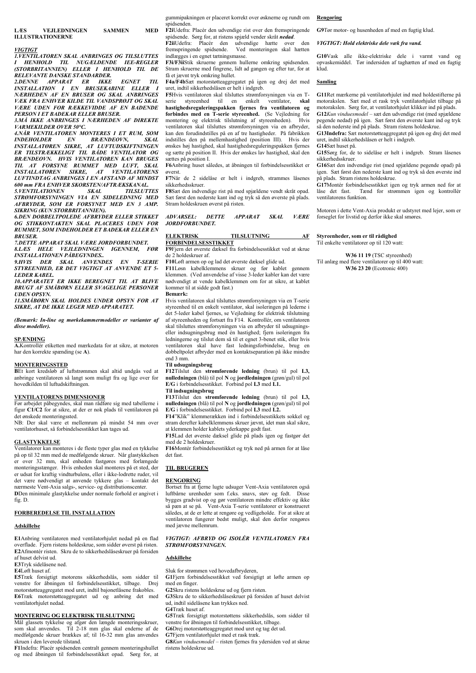### *VIGTIGT*

*1.VENTILATOREN SKAL ANBRINGES OG TILSLUTTES I HENHOLD TIL NUGÆLDENDE IEE-REGLER (STORBRITANNIEN) ELLER I HENHOLD TIL DE RELEVANTE DANSKE STANDARDER.* 

*2.DENNE APPARAT ER IKKE EGNET TIL INSTALLATION I EN BRUSEKABINE ELLER I NÆRHEDEN AF EN BRUSER OG SKAL ANBRINGES VÆK FRA ENHVER KILDE TIL VANDSPRØJT OG SKAL VÆRE UDEN FOR RÆKKEVIDDE AF EN BADENDE PERSON I ET BADEKAR ELLER BRUSER.* 

*3.MÅ IKKE ANBRINGES I NÆRHEDEN AF DIREKTE VARMEKILDER OVER 50°C.* 

*4.NÅR VENTILATOREN MONTERES I ET RUM, SOM INDEHOLDER EN BRÆNDEOVN, SKAL INSTALLATØREN SIKRE, AT LUFTUDSKIFTNINGEN ER TILSTRÆKKELIGT TIL BÅDE VENTILATOR OG BRÆNDEOVN. HVIS VENTILATOREN KAN BRUGES TIL AT FORSYNE RUMMET MED LUFT, SKAL INSTALLATØREN SIKRE, AT VENTILATORENS LUFTINDTAG ANBRINGES I EN AFSTAND AF MINDST 600 mm FRA ENHVER SKORSTEN/AFTRÆKSKANAL. 5.VENTILATIONEN SKAL TILSLUTTES* 

*STRØMFORSYNINGEN VIA EN SIDELEDNING MED AFBRYDER, SOM ER FORSYNET MED EN 3 AMP. SIKRING (KUN STORBRITANNIEN).* 

*6.DEN DOBBELTPOLEDE AFBRYDER ELLER STIKKET OG STIKKONTAKTEN SKAL PLACERES UDEN FOR RUMMET, SOM INDEHOLDER ET BADEKAR ELLER EN BRUSER.* 

*7.DETTE APPARAT SKAL VÆRE JORDFORBUNDET. 8.LÆS HELE VEJLEDNINGEN IGENNEM, FØR* 

*INSTALLATIONEN PÅBEGYNDES..* 

*9.HVIS DER SKAL ANVENDES EN T-SERIE STYREENHED, ER DET VIGTIGT AT ANVENDE ET 5- LEDER KABEL.* 

*10.APPARATET ER IKKE BEREGNET TIL AT BLIVE BRUGT AF SMÅBØRN ELLER SVAGELIGE PERSONER UDEN OPSYN.* 

*11.SMÅBØRN SKAL HOLDES UNDER OPSYN FOR AT SIKRE, AT DE IKKE LEGER MED APPARATET.* 

*(Bemærk: In-line og mørkekammermodeller er varianter af disse modeller).* 

### **SPÆNDING**

**A.**Kontrollér etiketten med mærkedata for at sikre, at motoren har den korrekte spænding (se **A**).

### **MONTERINGSSTED**

**B**Et kort kredsløb af luftstrømmen skal altid undgås ved at anbringe ventilatoren så langt som muligt fra og lige over for hovedkilden til luftudskiftningen.

### **VENTILATORENS DIMENSIONER**

Før arbejdet påbegyndes, skal man rådføre sig med tabellerne i figur **C1/C2** for at sikre, at der er nok plads til ventilatoren på det ønskede monteringssted.

NB: Der skal være et mellemrum på mindst 54 mm over ventilatorhuset, så forbindelsesstikket kan tages ud.

### **GLASTYKKELSE**

Ventilatorer kan monteres i de fleste typer glas med en tykkelse på op til 32 mm med de medfølgende skruer. Når glastykkelsen er over 32 mm, skal enheden fastgøres med forlængede monteringsstænger. Hvis enheden skal monteres på et sted, der er udsat for kraftig vindturbulens, eller i ikke-lodrette ruder, vil det være nødvendigt at anvende tykkere glas – kontakt det nærmeste Vent-Axia salgs-, service- og distributionscenter. **D**Den minimale glastykkelse under normale forhold er angivet i fig. D.

### **FORBEREDELSE TIL INSTALLATION**

### **Adskillelse**

**E1**Anbring ventilatoren med ventilatorhjulet nedad på en flad overflade. Fjern ristens holdeskrue, som sidder øverst på risten. **E2**Afmontér risten. Skru de to sikkerhedslåseskruer på forsiden af huset delvist ud.

**E3**Tryk sidelåsene ned.

**E4**Løft huset af.

**E5**Træk forsigtigt motorens sikkerhedslås, som sidder til venstre for åbningen til forbindelsesstikket, tilbage. Drej motorstøtteaggregatet mod uret, indtil bajonetlåsene frakobles. **E6**Træk motorstøtteaggregatet ud og anbring det med ventilatorhjulet nedad.

### **MONTERING OG ELEKTRISK TILSLUTNING**

Mål glassets tykkelse og afgør den længde monteringsskruer, som skal anvendes. Til 2-18 mm glas skal enderne af de medfølgende skruer brækkes af; til 16-32 mm glas anvendes skruen i den leverede tilstand.

**F1**Indefra: Placér spidsenden centralt gennem monteringshullet og med åbningen til forbindelsesstikket opad. Sørg for, at gummipakningen er placeret korrekt over øsknerne og rundt om spidsenden.

**F2i**Udefra: Placér den udvendige rist over den fremspringende spidsende. Sørg for, at ristens spjæld vender skråt *nedad*.

**F2iiUdefra:** Placér den udvendige hætte over den **F2iiUdefra:** Placér den udvendige hætte over den fremspringende spidsende. Ved monteringen skal hætten Ved monteringen skal hætten indlægges i en egnet tætningsmasse. **F3i/F3ii**Stik skruerne gennem hullerne omkring spidsenden.

Stram skruerne med fingrene, lidt ad gangen og efter tur, for at få et jævnt tryk omkring hullet.

**F4a/F4b**Sæt motorstøtteaggregatet på igen og drej det med uret, indtil sikkerhedslåsen er helt i indgreb.

**F5**Hvis ventilatoren skal tilsluttes strømforsyningen via en Tserie styreenhed til en enkelt ventilator, **skal hastighedsreguleringspakken fjernes fra ventilatoren og forbindes med en T-serie styreenhed.** (Se Vejledning for montering og elektrisk tilslutning af styreenheden). Hvis ventilatoren skal tilsluttes strømforsyningen via en afbryder, kan den forudindstilles på en af tre hastigheder. På fabrikken indstilles den på mellemhastighed (position III). Hvis der ønskes høj hastighed, skal hastighedsreguleringspakken fjernes og sætte på position II. Hvis der ønskes lav hastighed, skal den sættes på position I.

**F6**Anbring huset således, at åbningen til forbindelsesstikket er øverst.

**F7**Når de 2 sidelåse er helt i indgreb, strammes låsenes sikkerhedsskruer.

**F8**Sæt den indvendige rist på med spjældene vendt skråt opad. Sæt først den nederste kant ind og tryk så den øverste på plads. Stram holdeskruen øverst på risten.

*ADVARSEL: DETTE APPARAT SKAL VÆRE JORDFORBUNDET.* 

### **ELEKTRISK TILSLUTNING AF**

**FORBINDELSESSTIKKET F9**Fjern det øverste dæksel fra forbindelsesstikket ved at skrue de 2 holdeskruer af.

**F10**Løft armen op og lad det øverste dæksel glide ud.

**F11**Løsn kabelklemmens skruer og før kablet gennem klemmen. (Ved anvendelse af visse 3-leder kabler kan det være nødvendigt at vende kabelklemmen om for at sikre, at kablet kommer til at sidde godt fast.)

### **Bemærk:**

Hvis ventilatoren skal tilsluttes strømforsyningen via en T-serie styreenhed til en enkelt ventilator, skal isoleringen på lederne i det 5-leder kabel fjernes, se Vejledning for elektrisk tilslutning af styreenheden og fortsæt fra F14. Kontrollér, om ventilatoren skal tilsluttes strømforsyningen via en afbryder til udsugningseller indsugningsbrug med én hastighed; fjern isoleringen fra ledningerne og tilslut dem så til et egnet 3-benet stik, eller hvis ventilatoren skal have fast ledningsforbindelse, brug en dobbeltpolet afbryder med en kontaktseparation på ikke mindre end 3 mm.

### **Til udsugningsbrug**

**F12**Tilslut den **strømførende ledning** (brun) til pol **L3, nulledningen** (blå) til pol **N** og **jordledningen** (grøn/gul) til pol **E/G** i forbindelsesstikket. Forbind pol **L3** med **L1. Til indsugningsbrug** 

**F13**Tilslut den **strømførende ledning** (brun) til pol **L3, nulledningen** (blå) til pol **N** og **jordledningen** (grøn/gul) til pol **E/G** i forbindelsesstikket. Forbind pol **L3** med **L2.**

**F14**"Klik" klemmerækken ind i forbindelsesstikkets sokkel og stram derefter kabelklemmens skruer jævnt, idet man skal sikre, at klemmen holder kablets yderkappe godt fast.

**F15**Lad det øverste dæksel glide på plads igen og fastgør det med de 2 holdeskruer.

**F16**Montér forbindelsesstikket og tryk ned på armen for at låse det fast.

### **TIL BRUGEREN**

### **RENGØRING**

Bortset fra at fjerne lugte udsuger Vent-Axia ventilatoren også luftbårne urenheder som f.eks. snavs, støv og fedt. Disse bygges gradvist op og gør ventilatoren mindre effektiv og ikke så pæn at se på. Vent-Axia T-serie ventilatorer er konstrueret således, at de er lette at rengøre og vedligeholde. For at sikre at ventilatoren fungerer bedst muligt, skal den derfor rengøres med jævne mellemrum.

### *VIGTIGT: AFBRYD OG ISOLÉR VENTILATOREN FRA STRØMFORSYNINGEN.*

### **Adskillelse**

Sluk for strømmen ved hovedafbryderen,

G1Fjern forbindelsesstikket ved forsigtigt at løfte armen op med en finger.

**G2**Skru ristens holdeskrue ud og fjern risten.

**G3**Skru de to sikkerhedslåseskruer på forsiden af huset delvist ud, indtil sidelåsene kan trykkes ned.

**G4**Træk huset af.

**G5**Træk forsigtigt motorstøttens sikkerhedslås, som sidder til

venstre for åbningen til forbindelsesstikket, tilbage.

**G6**Drej motorstøtteaggregatet mod uret og tag det ud.

**G7**Fjern ventilatorhjulet med et rask træk.

**G8***Kun vinduesmodel* – risten fjernes fra ydersiden ved at skrue ristens holdeskrue ud.

### **Rengøring**

**G9**Tør motor- og husenheden af med en fugtig klud.

### *VIGTIGT: Hold elektriske dele væk fra vand.*

**G10**Vask alle ikke-elektriske dele i varmt vand og opvaskemiddel. Tør indersiden af taghætten af med en fugtig klud.

### **Samling**

**G11**Ret mærkerne på ventilatorhjulet ind med holdestifterne på motorakslen. Sæt med et rask tryk ventilatorhjulet tilbage på motorakslen. Sørg for, at ventilatorhjulet klikker ind på plads. **G12***Kun vinduesmodel* – sæt den udvendige rist (med spjældene pegende nedad) på igen. Sæt først den øverste kant ind og tryk

så den nederste ind på plads. Stram ristens holdeskrue. **G13Indefra:** Sæt motorstøtteaggregatet på igen og drej det med uret, indtil sikkerhedslåsen er helt i indgreb.

**G14**Sæt huset på.

**G15**Sørg for, de to sidelåse er helt i indgreb. Stram låsenes sikkerhedsskruer.

**G16**Sæt den indvendige rist (med spjældene pegende opad) på igen. Sæt først den nederste kant ind og tryk så den øverste ind på plads. Stram ristens holdeskrue.

**G17**Montér forbindelsesstikket igen og tryk armen ned for at låse det fast. Tænd for strømmen igen og kontrollér ventilatorens funktion.

Motoren i dette Vent-Axia produkt er udstyret med lejer, som er forseglet for livstid og derfor ikke skal smøres.

### **Styreenheder, som er til rådighed**

Til enkelte ventilatorer op til 120 watt:

**W36 11 19** (TSC styreenhed) Til anlæg med flere ventilatorer op til 400 watt: **W36 23 20** (Ecotronic 400)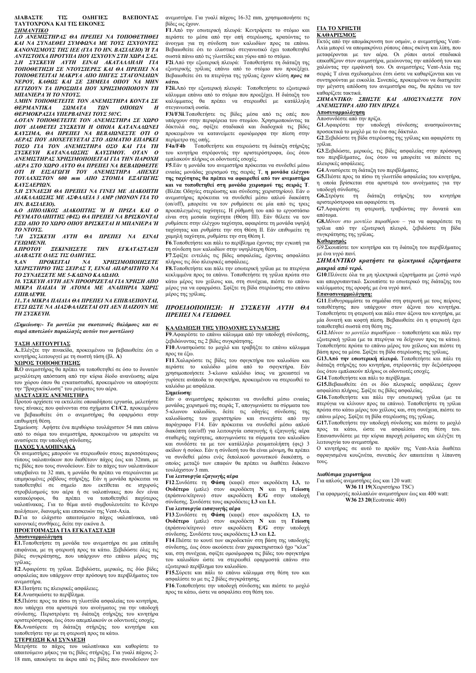### **ΔΙΑΒΑΣΤΕ ΤΙΣ ΟΔΗΓΙΕΣ ΒΛΕΠΟΝΤΑΣ ΤΑΥΤΟΧΡΟΝΑ ΚΑΙ ΤΙΣ ΕΙΚΟΝΕΣ** *ΣΗΜΑΝΤΙΚΟ*

*1.Ο ΑΝΕΜΙΣΤΗΡΑΣ ΘΑ ΠΡΕΠΕΙ ΝΑ ΤΟΠΟΘΕΤΗΘΕΙ ΚΑΙ ΝΑ ΣΥΝΔΕΘΕΙ ΣΥΜΦΩΝΑ ΜΕ ΤΟΥΣ ΙΣΧΥΟΝΤΕΣ ΚΑΝΟΝΙΣΜΟΥΣ ΤΗΣ IEE (ΓΙΑ ΤΟ ΗΝ. ΒΑΣΙΛΕΙΟ) Ή ΤΑ ΑΝΤΙΣΤΟΙΧΑ ΠΡΟΤΥΠΑ ΠΟΥ ΙΣΧΥΟΥΝ ΣΤΗ ΧΩΡΑ ΣΑΣ. 2.Η ΣΥΣΚΕΥΗ ΑΥΤΗ ΕΙΝΑΙ ΑΚΑΤΑΛΛΗΛΗ ΓΙΑ ΤΟΠΟΘΕΤΗΣΗ ΣΕ ΝΤΟΥΣΙΕΡΕΣ ΚΑΙ ΘΑ ΠΡΕΠΕΙ ΝΑ ΤΟΠΟΘΕΤΕΙΤΑΙ ΜΑΚΡΥΑ ΑΠΟ ΠΗΓΕΣ ΣΤΑΓΟΝΙΔΙΩΝ ΝΕΡΟΥ, ΚΑΘΩΣ ΚΑΙ ΣΕ ΣΗΜΕΙΑ ΟΠΟΥ ΝΑ ΜΗΝ ΕΓΓΙΖΟΥΝ ΤΑ ΠΡΟΣΩΠΑ ΠΟΥ ΧΡΗΣΙΜΟΠΟΙΟΥΝ ΤΗ ΜΠΑΝΙΕΡΑ Ή ΤΟ ΝΤΟΥΣ.* 

*3.ΜΗΝ ΤΟΠΟΘΕΤΕΙΤΕ ΤΟΝ ΑΝΕΜΙΣΤΗΡΑ ΚΟΝΤΑ ΣΕ ΘΕΡΜΑΝΤΙΚΑ ΣΩΜΑΤΑ ΤΩΝ ΟΠΟΙΩΝ Η ΘΕΡΜΟΚΡΑΣΙΑ ΥΠΕΡΒΑΙΝΕΙ ΤΟΥΣ 50?C.* 

*4.ΟΤΑΝ ΤΟΠΟΘΕΤΕΙΤΕ ΤΟΝ ΑΝΕΜΙΣΤΗΡΑ ΣΕ ΧΩΡΟ ΠΟΥ ΔΙΑΘΕΤΕΙ ΣΥΣΚΕΥΗ Η ΟΠΟΙΑ ΚΑΤΑΝΑΛΩΝΕΙ ΚΑΥΣΙΜΑ, ΘΑ ΠΡΕΠΕΙ ΝΑ ΒΕΒΑΙΩΝΕΣΤΕ ΟΤΙ Ο ΑΕΡΑΣ ΠΟΥ ΔΙΟΧΕΤΕΥΕΤΑΙ ΣΤΟ ΔΩΜΑΤΙΟ ΕΠΑΡΚΕΙ ΤΟΣΟ ΓΙΑ ΤΟΝ ΑΝΕΜΙΣΤΗΡΑ ΟΣΟ ΚΑΙ ΓΙΑ ΤΗ ΣΥΣΚΕΥΗ ΚΑΤΑΝΑΛΩΣΗΣ ΚΑΥΣΙΜΟΥ. ΟΤΑΝ Ο ΑΝΕΜΙΣΤΗΡΑΣ ΧΡΗΣΙΜΟΠΟΙΕΙΤΑΙ ΓΙΑ ΤΗΝ ΠΑΡΟΧΗ ΑΕΡΑ ΣΤΟ ΧΩΡΟ ΑΥΤΟ ΘΑ ΠΡΕΠΕΙ ΝΑ ΒΕΒΑΙΩΘΕΙΤΕ ΟΤΙ Η ΕΙΣΑΓΩΓΗ ΤΟΥ ΑΝΕΜΙΣΤΗΡΑ ΑΠΕΧΕΙ ΤΟΥΛΑΧΙΣΤΟΝ 600 mm ΑΠΟ ΣΤΟΜΙΑ ΕΞΑΓΩΓΗΣ ΚΑΥΣΑΕΡΙΩΝ.* 

*5.Η ΣΥΝΔΕΣΗ ΘΑ ΠΡΕΠΕΙ ΝΑ ΓΙΝΕΙ ΜΕ ΔΙΑΚΟΠΤΗ ΔΙΑΚΛΑΔΩΣΗΣ ΜΕ ΑΣΦΑΛΕΙΑ 3 AMP (ΜΟΝΟΝ ΓΙΑ ΤΟ ΗΝ. ΒΑΣΙΛΕΙΟ).* 

*6.Ο ΔΙΠΟΛΙΚΟΣ ΔΙΑΚΟΠΤΗΣ Ή Η ΠΡΙΖΑ ΚΑΙ Ο ΡΕΥΜΑΤΟΛΗΠΤΗΣ (ΦΙΣ) ΘΑ ΠΡΕΠΕΙ ΝΑ ΒΡΙΣΚΟΝΤΑΙ ΕΞΩ ΑΠΟ ΤΟ ΧΩΡΟ ΟΠΟΥ ΒΡΙΣΚΕΤΑΙ Η ΜΠΑΝΙΕΡΑ Ή ΤΟ ΝΤΟΥΣ.* 

*7.Η ΣΥΣΚΕΥΗ ΑΥΤΗ ΘΑ ΠΡΕΠΕΙ ΝΑ ΕΙΝΑΙ ΓΕΙΩΜΕΝΗ.* 

*8.ΠΡΟΤΟΥ ΞΕΚΙΝΗΣΕΤΕ ΤΗΝ ΕΓΚΑΤΑΣΤΑΣΗ ΔΙΑΒΑΣΤΕ ΟΛΕΣ ΤΙΣ ΟΔΗΓΙΕΣ.* 

*9.ΑΝ ΠΡΟΚΕΙΤΑΙ ΝΑ ΧΡΗΣΙΜΟΠΟΙΗΣΕΤΕ ΧΕΙΡΙΣΤΗΡΙΟ ΤΗΣ ΣΕΙΡΑΣ T, ΕΙΝΑΙ ΑΠΑΡΑΙΤΗΤΟ ΝΑ ΤΟ ΣΥΝΔΕΣΕΤΕ ΜΕ 5-ΚΛΩΝΟ ΚΑΛΩΔΙΟ.* 

*10. ΥΣΚΕΥΗ ΑΥΤΗ ΔΕΝ ΠΡΟΟΡΙΖΕΤΑΙ ΓΙΑ ΧΡΗΣΗ ΑΠΟ ΜΙΚΡΑ ΠΑΙΔΙΑ Ή ΑΤΟΜΑ ΜΕ ΑΝΑΠΗΡΙΑ ΧΩΡΙΣ ΕΠΙΒΛΕΨΗ.* 

*11..ΤΑ ΜΙΚΡΑ ΠΑΙΔΙΑ ΘΑ ΠΡΕΠΕΙ ΝΑ ΕΠΙΒΛΕΠΟΝΤΑΙ, ΕΤΣΙ ΩΣΤΕ ΝΑ ΔΙΑΣΦΑΛΙΖΕΤΑΙ ΟΤΙ ΔΕΝ ΠΑΙΖΟΥΝ ΜΕ ΤΗ ΣΥΣΚΕΥΗ.* 

*(Σημείωση:- Τα μοντέλα για σκοτεινούς θαλάμους και σε σειρά αποτελούν παραλλαγές αυτών των μοντέλων)* 

**ΤΑΣΗ ΛΕΙΤΟΥΡΓΙΑΣ A.**.Ελέγξτε την πινακίδα, προκειμένου να βεβαιωθείτε ότι ο κινητήρας λειτουργεί με τη σωστή τάση (βλ. **A**)

### **ΧΩΡΟΣ ΤΟΠΟΘΕΤΗΣΗΣ**

**B.**Ο ανεμιστήρας θα πρέπει να τοποθετηθεί σε όσο το δυνατόν μεγαλύτερη απόσταση από την κύρια δίοδο ανανέωσης αέρα του χώρου όπου θα εγκατασταθεί, προκειμένου να αποφύγετε την "βραχυκύκλωση" του ρεύματος του αέρα.

### **ΔΙΑΣΤΑΣΕΙΣ ΑΝΕΜΙΣΤΗΡΑ**

Προτού αρχίσετε να εκτελείτε οποιαδήποτε εργασία, μελετήστε τους πίνακες που φαίνονται στα σχήματα **C1/C2**, προκειμένου να βεβαιωθείτε ότι ο ανεμιστήρας θα εφαρμόσει στην επιθυμητή θέση.

Σημείωση: Αφήστε ένα περιθώριο τουλάχιστον 54 mm επάνω από το σώμα του ανεμιστήρα, προκειμένου να μπορείτε να ανασύρετε την υποδοχή σύνδεσης.

### **ΠΑΧΟΣ ΥΑΛΟΠΙΝΑΚΑ**

Οι ανεμιστήρες μπορούν να στερεωθούν στους περισσότερους τύπους υαλοπινάκων που διαθέτουν πάχος έως και 32mm, με τις βίδες που τους συνοδεύουν. Εάν το πάχος των υαλοπινάκων υπερβαίνει τα 32 mm, η μονάδα θα πρέπει να στερεώνεται με επιμηκυμένες ράβδους στήριξης. Εάν η μονάδα πρόκειται να τοποθετηθεί σε σημείο που εκτίθεται σε ισχυρούς στροβιλισμούς του αέρα ή σε υαλοπίνακες που δεν είναι κατακόρυφοι, θα πρέπει να τοποθετηθεί παχύτερος υαλοπίνακας. Για το θέμα αυτό συμβουλευτείτε το Κέντρο πωλήσεων, διανομής και επισκευών της Vent-Axia.

**D.**Για το ελάχιστο απαιτούμενο πάχος υαλοπίνακα, υπό

### κανονικές συνθήκες, δείτε την εικόνα Δ. **ΠΡΟΕΤΟΙΜΑΣΙΑ ΓΙΑ ΕΓΚΑΤΑΣΤΑΣΗ**

### **Αποσυναρμολόγηση**

**E1.**Τοποθετήστε τη μονάδα του ανεμιστήρα σε μια επίπεδη επιφάνεια, με τη φτερωτή προς τα κάτω. Ξεβιδώστε όλες τις βίδες συγκράτησης, που υπάρχουν στο επάνω μέρος της γρίλιας.

**E2**.Αφαιρέστε τη γρίλια. Ξεβιδώστε, μερικώς, τις δύο βίδες ασφαλείας που υπάρχουν στην πρόσοψη του περιβλήματος του ανεμιστήρα.

**E3**.Πατήστε τις πλευρικές ασφάλειες.

**E4**.Ανασηκώστε το περίβλημα.

**E5.**Πιέστε προς τα πίσω τη γλωττίδα ασφαλείας του κινητήρα, που υπάρχει στα αριστερά του ανοίγματος για την υποδοχή σύνδεσης. Περιστρέψτε τη διάταξη στήριξης του κινητήρα αριστερόστροφα, έως ότου απεμπλακούν οι οδοντωτές εσοχές. **E6.**Ανασύρετε τη διάταξη στήριξης του κινητήρα και τοποθετήστε την με τη φτερωτή προς τα κάτω.

**ΣΤΕΡΕΩΣΗ ΚΑΙ ΣΥΝΔΕΣΗ** Μετρήστε το πάχος του υαλοπίνακα και καθορίστε το απαιτούμενο μήκος για τις βίδες στήριξης. Για γυαλί πάχους 2- 18 mm, αποκόψτε τα άκρα από τις βίδες που συνοδεύουν τον ανεμιστήρα. Για γυαλί πάχους 16-32 mm, χρησιμοποιήστε τις βίδες ως έχουν.

**F1**.Από την εσωτερική πλευρά: Κεντράρετε το στόμιο και περάστε το μέσα από την οπή στερέωσης, κρατώντας το άνοιγμα για τη σύνδεση των καλωδίων προς τα επάνω. Βεβαιωθείτε ότι το ελαστικό στεγανωτικό έχει τοποθετηθεί σωστά πάνω από τις γλωττίδες και γύρω από το στόμιο.

**F2i**.Από την εξωτερική πλευρά: Τοποθετήστε τη διάταξη της εξωτερικής γρίλιας επάνω από το στόμιο που προεξέχει. Βεβαιωθείτε ότι τα πτερύγια της γρίλιας έχουν κλίση *προς τα κάτω.*

**F2ii.**Από την εξωτερική πλευρά: Τοποθετήστε το εξωτερικό κάλυμμα επάνω από το στόμιο που προεξέχει. Η διάταξη του καλύμματος θα πρέπει να στερεωθεί με κατάλληλη στεγανωτική ουσία.

**F3i/F3ii**.Τοποθετήστε τις βίδες μέσα από τις οπές που υπάρχουν στην περιφέρεια του στομίου. Χρησιμοποιώντας τα δάκτυλά σας, σφίξτε σταδιακά και διαδοχικά τις βίδες προκειμένου να κατανείμετε ομοιόμορφα την πίεση στην περίμετρο της οπής.

**F4a/F4b** Τοποθετήστε και στερεώστε τη διάταξη στήριξης του κινητήρα στρέφοντάς την αριστερόστροφα, έως ότου εμπλακούν πλήρως οι οδοντωτές εσοχές.

**F5**.Εάν η μονάδα του ανεμιστήρα πρόκειται να συνδεθεί μέσω ενιαίας μονάδας χειρισμού της σειράς Τ, **η μονάδα ελέγχου της ταχύτητας θα πρέπει να αφαιρεθεί από τον ανεμιστήρα**

**και να τοποθετηθεί στη μονάδα χειρισμού της σειράς T**. (Βλέπε Οδηγίες στερέωσης και σύνδεσης χειριστηρίου). Εάν ο ανεμιστήρας πρόκειται να συνδεθεί μέσω απλού διακόπτη (on/off), μπορείτε να τον ρυθμίσετε σε μία από τις τρεις προεπιλεγμένες ταχύτητες. Η ρύθμισή του από το εργοστάσιο είναι στη μεσαία ταχύτητα (Θέση III). Εάν θέλετε να τον ρυθμίσετε στην ελέγχου ταχύτητα, αφαιρέστε τη μονάδα υψηλή ταχύτητας και ρυθμίστε την στη Θέση II. Εάν επιθυμείτε τη χαμηλή ταχύτητα, ρυθμίστε την στη Θέση I.

**F6**.Τοποθετήστε και πάλι το περίβλημα έχοντας την εγκοπή για τη σύνδεση των καλωδίων στην υψηλότερη θέση.

**F7**.Σφίξτε εντελώς τις βίδες ασφαλείας, έχοντας ασφαλίσει πλήρως τις δύο πλευρικές ασφάλειες.

**F8.**Τοποθετήστε και πάλι την εσωτερική γρίλια με τα πτερύγια κεκλιμμένα προς τα επάνω. Τοποθετήστε τη γρίλια πρώτα στο κάτω μέρος του χείλους και, στη συνέχεια, πιέστε το επάνω μέρος για να εφαρμόσει. Σφίξτε τη βίδα στερέωσης στο επάνω μέρος της γρίλιας.

### *ΠΡΟΕΙΔΟΠΟΙΗΣΗ: Η ΣΥΣΚΕΥΗ ΑΥΤΗ ΘΑ ΠΡΕΠΕΙ ΝΑ ΓΕΙΩΘΕΙ.*

**ΚΑΛΩΔΙΩΣΗ ΤΗΣ ΥΠΟΔΟΧΗΣ ΣΥΝΔΕΣΗΣ F9**.Αφαιρέστε το επάνω κάλυμμα από την υποδοχή σύνδεσης, ξεβιδώνοντας τις 2 βίδες συγκράτησης.

**F10**.Ανασηκώστε το μοχλό και τραβήξτε το επάνω κάλυμμα προς τα έξω.

**F11**.Χαλαρώστε τις βίδες του σφιγκτήρα του καλωδίου και περάστε το καλώδιο μέσα από το σφιγκτήρα. Εάν χρησιμοποιήσετε 3-κλωνο καλώδιο ίσως να χρειαστεί να γυρίσετε ανάποδα το σφιγκτήρα, προκειμένου να στερεωθεί το καλώδιο με ασφάλεια.

### **Σημείωση:**

Εάν ο ανεμιστήρας πρόκειται να συνδεθεί μέσω ενιαίας μονάδας χειρισμού της σειράς T, απογυμνώστε τα σύρματα του 5-κλωνου καλωδίου, δείτε τις οδηγίες σύνδεσης της καλωδίωσης του χειριστηρίου και συνεχίστε από την παράγραφο F14. Εάν πρόκειται να συνδεθεί μέσω απλού διακόπτη (on/off) για λειτουργία εισαγωγής ή εξαγωγής αέρα σταθερής ταχύτητας, απογυμνώστε τα σύρματα του καλωδίου και συνδέστε τα με τον κατάλληλο ρευματολήπτη (φις) 3 ακίδων ή σούκο. Εάν η σύνδεσή του θα είναι μόνιμη, θα πρέπει να συνδεθεί μέσω ενός διπολικού μονωτικού διακόπτη, ο οποίος μεταξύ των επαφών θα πρέπει να διαθέτει διάκενο τουλάχιστον 3 mm.

### **Για λειτουργία εξαγωγής αέρα**

**F12**.Συνδέστε τη **Φάση** (καφέ) στον ακροδέκτη **L3,** το **Ουδέτερο** (μπλε) στον ακροδέκτη **N** και τη **Γείωση** (πράσινο/κίτρινο) στον ακροδέκτη **E/G** στην υποδοχή σύνδεσης. Συνδέστε τους ακροδέκτες **L3** και **L1.**

### **Για λειτουργία εισαγωγής αέρα**

**F13**.Συνδέστε τη **Φάση** (καφέ) στον ακροδέκτη **L3,** το **Ουδέτερο** (μπλε) στον ακροδέκτη **N** και τη **Γείωση** (πράσινο/κίτρινο) στον ακροδέκτη **E/G** στην υποδοχή σύνδεσης. Συνδέστε τους ακροδέκτες **L3** και **L2.**

**F14**.Πιέστε το κουτί των ακροδεκτών στη βάση της υποδοχής σύνδεσης, έως ότου ακούσετε έναν χαρακτηριστικό ήχο "κλικ" και, στη συνέχεια, σφίξτε ομοιόμορφα τις βίδες του σφιγκτήρα του καλωδίου ώστε να στερεωθεί εφαρμοστά επάνω στο εξωτερικό περίβλημα του καλωδίου.

**F15.**Σύρετε και πάλι το επάνω κάλυμμα στη θέση του και ασφαλίστε το με τις 2 βίδες συγκράτησης.

**F16**.Τοποθετήστε την υποδοχή σύνδεσης και πιέστε το μοχλό προς τα κάτω, ώστε να ασφαλίσει στη θέση του.

### **ΓΙΑ ΤΟ ΧΡΗΣΤΗ ΚΑΘΑΡΙΣΜΟΣ**

Εκτός από την απομάκρυνση των οσμών, ο ανεμιστήρας Vent-Axia μπορεί να απομακρύνει ρύπους όπως σκόνη και λίπη, που μεταφέρονται με τον αέρα. Οι ρύποι αυτοί σταδιακά επικαθίζουν στον ανεμιστήρα, μειώνοντας την απόδοσή του και χαλώντας την εμφάνισή του. Οι ανεμιστήρες Vent-Axia της σειράς T είναι σχεδιασμένοι έτσι ώστε να καθαρίζονται και να συντηρούνται με ευκολία. Συνεπώς, προκειμένου να διατηρείτε την μέγιστη απόδοση του ανεμιστήρα σας, θα πρέπει να τον καθαρίζετε τακτικά.

# *ΣΗΜΑΝΤΙΚΟ: ΣΒΗΣΤΕ ΚΑΙ ΑΠΟΣΥΝΔΕΣΤΕ ΤΟΝ ΑΝΕΜΙΣΤΗΡΑ ΑΠΟ ΤΗΝ ΠΡΙΖΑ.*

**Αποσυναρμολόγηση**

### Αποσυνδέστε από την πρίζα.

**G1**.Αφαιρέστε την υποδοχή σύνδεσης ανασηκώνοντας προσεκτικά το μοχλό με το ένα σας δάκτυλο. **G2**.Ξεβιδώστε τη βίδα στερέωσης της γρίλιας και αφαιρέστε τη

γρίλια.

**G3**.Ξεβιδώστε, μερικώς, τις βίδες ασφαλείας στην πρόσοψη του περιβλήματος, έως ότου να μπορείτε να πιέσετε τις πλευρικές ασφάλειες.

**G4**.Ανασύρετε τη διάταξη του περιβλήματος.

**G5.**Πιέστε προς τα πίσω τη γλωττίδα ασφαλείας του κινητήρα, η οποία βρίσκεται στα αριστερά του ανοίγματος για την

υποδοχή σύνδεσης.<br>**G6.**Στρέψτε τη διάταξη στήριξης του κινητήρα αριστερόστροφα και αφαιρέστε τη.

**G7**.Αφαιρέστε τη φτερωτή, τραβώντας την δυνατά και απότομα.

**G8.***Μόνον στο μοντέλο παραθύρου –* για να αφαιρέσετε τη γρίλια από την εξωτερική πλευρά, ξεβιδώστε τη βίδα συγκράτησης της γρίλιας.

### **Καθαρισμός**

*G9*.Σκουπίστε τον κινητήρα και τη διάταξη του περιβλήματος με ένα υγρό πανί.

### *ΣΗΜΑΝΤΙΚΟ κρατήστε τα ηλεκτρικά εξαρτήματα μακριά από νερό.*

**G10**.Πλύνετε όλα τα μη ηλεκτρικά εξαρτήματα με ζεστό νερό και απορρυπαντικό. Σκουπίστε το εσωτερικό της διάταξης του καλύμματος της οροφής με ένα υγρό πανί.

### **Επανασυναρμολόγηση:**

**G11**.Ευθυγραμμίστε τα σημάδια στη φτερωτή με τους πείρους τοποθέτησης που υπάρχουν στον άξονα του κινητήρα. Τοποθετήστε τη φτερωτή και πάλι στον άξονα του κινητήρα, με μία δυνατή και κοφτή πίεση. Βεβαιωθείτε ότι η φτερωτή έχει τοποθετηθεί σωστά στη θέση της.

**G12**.*Μόνον το μοντέλο παραθύρου –* τοποθετήστε και πάλι την εξωτερική γρίλια (με τα πτερύγια να δείχνουν προς τα κάτω). Τοποθετήστε πρώτα το επάνω μέρος του χείλους και πιέστε τη βάση προς τα μέσα. Σφίξτε τη βίδα στερέωσης της γρίλιας.

**G13.Από την εσωτερική πλευρά.** Τοποθετήστε και πάλι τη διάταξη στήριξης του κινητήρα, στρέφοντάς την δεξιόστροφα έως ότου εμπλακούν πλήρως οι οδοντωτές εσοχές.

**G14**.Τοποθετήστε και πάλι το περίβλημα.

**G15.**Βεβαιωθείτε ότι οι δύο πλευρικές ασφάλειες έχουν ασφαλίσει πλήρως. Σφίξτε τις βίδες ασφαλείας.

**G16.**Τοποθετήστε και πάλι την εσωτερική γρίλια (με τα πτερύγια να κλίνουν προς τα επάνω). Τοποθετήστε τη γρίλια πρώτα στο κάτω μέρος του χείλους και, στη συνέχεια, πιέστε το επάνω μέρος. Σφίξτε τη βίδα στερέωσης της γρίλιας.

**G17.**Τοποθετήστε την υποδοχή σύνδεσης και πιέστε το μοχλό προς τα κάτω, ώστε να ασφαλίσει στη θέση του. Επανασυνδέστε με την κύρια παροχή ρεύματος και ελέγξτε τη λειτουργία του ανεμιστήρα.

Ο κινητήρας σε αυτό το προϊόν της Vent-Axia διαθέτει σφραγισμένα κουζινέτα, συνεπώς δεν απαιτείται η λίπανση τους.

### **Διαθέσιμα χειριστήρια**

Για απλούς ανεμιστήρες έως και 120 watt:

**W36 11 19**(Χειριστήριο TSC)

Για εφαρμογές πολλαπλών ανεμιστήρων έως και 400 watt: **W36 23 20**(Ecotronic 400)